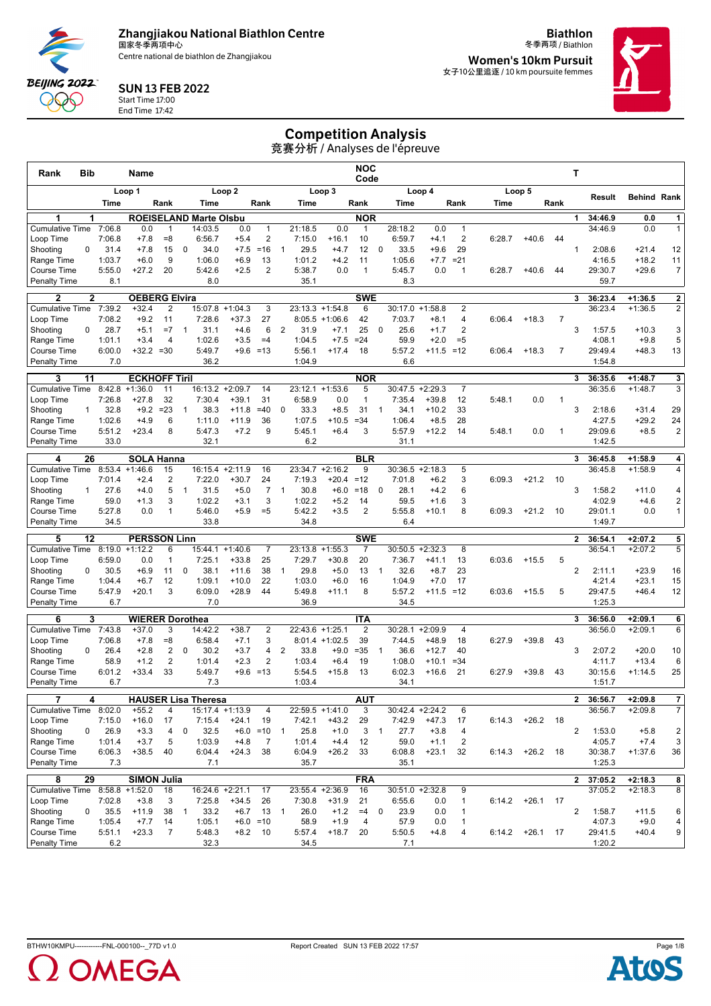Centre national de biathlon de Zhangjiakou

**Biathlon** 冬季两项 / Biathlon **Women's 10km Pursuit**

女子10公里追逐 / 10 km poursuite femmes



### SUN 13 FEB 2022

Start Time 17:00 End Time 17:42

**BEIJING 2022** POO C

# Competition Analysis

| Rank<br>Bib                           |                  | Name                 |                       |                                |                    |                                |                          |                           | <b>NOC</b><br>Code |                |                   |                    |                                         |        |            |                | т              |                   |                    |                         |
|---------------------------------------|------------------|----------------------|-----------------------|--------------------------------|--------------------|--------------------------------|--------------------------|---------------------------|--------------------|----------------|-------------------|--------------------|-----------------------------------------|--------|------------|----------------|----------------|-------------------|--------------------|-------------------------|
|                                       |                  | Loop 1               |                       |                                | Loop <sub>2</sub>  |                                |                          | Loop 3                    |                    |                |                   | Loop 4             |                                         |        | Loop 5     |                |                | Result            | <b>Behind Rank</b> |                         |
|                                       | Time             |                      | Rank                  | Time                           |                    | Rank                           |                          | Time                      | Rank               |                | Time              |                    | Rank                                    | Time   |            | Rank           |                |                   |                    |                         |
| 1                                     | 1                |                      |                       | <b>ROEISELAND Marte Olsbu</b>  |                    |                                |                          |                           | <b>NOR</b>         |                |                   |                    |                                         |        |            |                | 1              | 34:46.9           | 0.0                | $\mathbf{1}$            |
| <b>Cumulative Time</b><br>Loop Time   | 7:06.8<br>7:06.8 | 0.0<br>$+7.8$        | $\mathbf{1}$<br>$= 8$ | 14:03.5<br>6:56.7              | 0.0<br>$+5.4$      | $\mathbf{1}$<br>$\overline{2}$ | 21:18.5<br>7:15.0        | 0.0<br>$+16.1$            | $\mathbf{1}$<br>10 |                | 28:18.2<br>6:59.7 | 0.0<br>$+4.1$      | $\mathbf{1}$<br>$\overline{\mathbf{c}}$ | 6:28.7 | $+40.6$    | 44             |                | 34:46.9           | 0.0                | $\mathbf{1}$            |
| Shooting<br>$\Omega$                  | 31.4             | $+7.8$               | 15                    | 34.0<br>0                      | $+7.5$             | $=16$                          | $\mathbf{1}$             | 29.5<br>$+4.7$            | 12                 | 0              | 33.5              | $+9.6$             | 29                                      |        |            |                | 1              | 2:08.6            | $+21.4$            | 12                      |
| Range Time                            | 1:03.7           | $+6.0$               | 9                     | 1:06.0                         | $+6.9$             | 13                             | 1:01.2                   | $+4.2$                    | 11                 |                | 1:05.6            | $+7.7$             | $= 21$                                  |        |            |                |                | 4:16.5            | $+18.2$            | 11                      |
| <b>Course Time</b>                    | 5:55.0           | $+27.2$              | 20                    | 5:42.6                         | $+2.5$             | $\overline{2}$                 | 5:38.7                   | 0.0                       | $\mathbf{1}$       |                | 5:45.7            | 0.0                | $\overline{1}$                          | 6:28.7 | $+40.6$    | 44             |                | 29:30.7           | $+29.6$            | $\overline{7}$          |
| Penalty Time                          | 8.1              |                      |                       | 8.0                            |                    |                                |                          | 35.1                      |                    |                | 8.3               |                    |                                         |        |            |                |                | 59.7              |                    |                         |
| 2                                     | $\mathbf{2}$     | <b>OEBERG Elvira</b> |                       |                                |                    |                                |                          |                           | <b>SWE</b>         |                |                   |                    |                                         |        |            |                | 3              | 36:23.4           | $+1:36.5$          | $\overline{2}$          |
| <b>Cumulative Time</b>                | 7:39.2           | $+32.4$              | $\overline{2}$        | 15:07.8                        | $+1:04.3$          | 3                              | 23:13.3                  | $+1:54.8$                 | 6                  |                | 30:17.0           | $+1:58.8$          | $\overline{2}$                          |        |            |                |                | 36:23.4           | $+1:36.5$          | $\overline{2}$          |
| Loop Time                             | 7:08.2           | $+9.2$               | 11                    | 7:28.6                         | $+37.3$            | 27                             |                          | 8:05.5<br>$+1:06.6$       | 42                 |                | 7:03.7            | $+8.1$             | $\overline{4}$                          | 6:06.4 | $+18.3$    | $\overline{7}$ |                |                   |                    |                         |
| Shooting<br>0                         | 28.7             | $+5.1$               | $=7$                  | 31.1<br>$\mathbf{1}$           | $+4.6$             | 6                              | 2                        | 31.9<br>$+7.1$            | 25                 | $\mathbf 0$    | 25.6              | $+1.7$             | 2                                       |        |            |                | 3              | 1:57.5            | $+10.3$            | 3                       |
| Range Time                            | 1:01.1           | $+3.4$               | $\overline{4}$        | 1:02.6                         | $+3.5$             | $=4$                           | 1:04.5                   | $+7.5$                    | $= 24$             |                | 59.9              | $+2.0$             | $=5$                                    |        |            |                |                | 4:08.1            | $+9.8$             | 5                       |
| <b>Course Time</b>                    | 6:00.0<br>7.0    | $+32.2 = 30$         |                       | 5:49.7<br>36.2                 |                    | $+9.6 = 13$                    | 5:56.1                   | $+17.4$                   | 18                 |                | 5:57.2<br>6.6     | $+11.5 = 12$       |                                         | 6:06.4 | $+18.3$    | $\overline{7}$ |                | 29:49.4           | $+48.3$            | 13                      |
| <b>Penalty Time</b>                   |                  |                      |                       |                                |                    |                                | 1:04.9                   |                           |                    |                |                   |                    |                                         |        |            |                |                | 1:54.8            |                    |                         |
| 11<br>3                               |                  | <b>ECKHOFF Tiril</b> |                       |                                |                    |                                |                          |                           | <b>NOR</b>         |                |                   |                    |                                         |        |            |                | 3              | 36:35.6           | $+1:48.7$          | 3                       |
| <b>Cumulative Time</b>                | 8:42.8           | $+1:36.0$            | 11                    |                                | 16:13.2 +2:09.7    | 14                             | 23:12.1                  | $+1:53.6$                 | 5                  |                |                   | $30:47.5 +2:29.3$  | $\overline{7}$                          |        |            |                |                | 36:35.6           | $+1:48.7$          | 3                       |
| Loop Time<br>Shooting<br>$\mathbf{1}$ | 7:26.8<br>32.8   | $+27.8$<br>$+9.2$    | 32<br>$=23$           | 7:30.4<br>38.3<br>$\mathbf{1}$ | $+39.1$<br>$+11.8$ | 31<br>$=40$                    | 6:58.9<br>$\mathbf 0$    | 0.0<br>33.3<br>$+8.5$     | $\mathbf{1}$<br>31 | $\mathbf{1}$   | 7:35.4<br>34.1    | $+39.8$<br>$+10.2$ | 12<br>33                                | 5:48.1 | 0.0        | $\overline{1}$ | 3              | 2:18.6            | $+31.4$            | 29                      |
| Range Time                            | 1:02.6           | $+4.9$               | 6                     | 1:11.0                         | $+11.9$            | 36                             | 1:07.5                   | $+10.5$                   | $= 34$             |                | 1:06.4            | $+8.5$             | 28                                      |        |            |                |                | 4:27.5            | $+29.2$            | 24                      |
| <b>Course Time</b>                    | 5:51.2           | $+23.4$              | 8                     | 5:47.3                         | $+7.2$             | 9                              | 5:45.1                   | $+6.4$                    | 3                  |                | 5:57.9            | $+12.2$            | 14                                      | 5:48.1 | 0.0        | $\mathbf{1}$   |                | 29:09.6           | $+8.5$             | $\overline{a}$          |
| <b>Penalty Time</b>                   | 33.0             |                      |                       | 32.1                           |                    |                                |                          | 6.2                       |                    |                | 31.1              |                    |                                         |        |            |                |                | 1:42.5            |                    |                         |
| 26<br>4                               |                  | <b>SOLA Hanna</b>    |                       |                                |                    |                                |                          |                           | <b>BLR</b>         |                |                   |                    |                                         |        |            |                | 3              | 36:45.8           | $+1:58.9$          | 4                       |
| <b>Cumulative Time</b>                | 8:53.4           | $+1:46.6$            | 15                    | 16:15.4                        | $+2:11.9$          | 16                             | 23:34.7                  | $+2:16.2$                 | 9                  |                |                   | $30:36.5 +2:18.3$  | 5                                       |        |            |                |                | 36:45.8           | $+1:58.9$          | 4                       |
| Loop Time                             | 7:01.4           | $+2.4$               | $\overline{2}$        | 7:22.0                         | $+30.7$            | 24                             | 7:19.3                   | $+20.4$                   | $=12$              |                | 7:01.8            | $+6.2$             | 3                                       | 6:09.3 | $+21.2$    | 10             |                |                   |                    |                         |
| Shooting<br>$\mathbf{1}$              | 27.6             | $+4.0$               | 5                     | 31.5<br>$\mathbf{1}$           | $+5.0$             | $\overline{7}$                 | $\mathbf{1}$             | 30.8<br>$+6.0$            | $=18$              | $\mathbf 0$    | 28.1              | $+4.2$             | 6                                       |        |            |                | 3              | 1:58.2            | $+11.0$            | 4                       |
| Range Time                            | 59.0             | $+1.3$               | 3                     | 1:02.2                         | $+3.1$             | 3                              | 1:02.2                   | $+5.2$                    | 14                 |                | 59.5              | $+1.6$             | 3                                       |        |            |                |                | 4:02.9            | $+4.6$             | $\overline{\mathbf{c}}$ |
| Course Time                           | 5:27.8           | 0.0                  | $\mathbf{1}$          | 5:46.0                         | $+5.9$             | $= 5$                          | 5:42.2                   | $+3.5$                    | $\overline{2}$     |                | 5:55.8            | $+10.1$            | 8                                       | 6:09.3 | $+21.2$    | 10             |                | 29:01.1           | 0.0                | 1                       |
| <b>Penalty Time</b>                   | 34.5             |                      |                       | 33.8                           |                    |                                |                          | 34.8                      |                    |                | 6.4               |                    |                                         |        |            |                |                | 1:49.7            |                    |                         |
| 12<br>5                               |                  | <b>PERSSON Linn</b>  |                       |                                |                    |                                |                          |                           | <b>SWE</b>         |                |                   |                    |                                         |        |            |                | $\overline{2}$ | 36:54.1           | $+2:07.2$          | 5                       |
| <b>Cumulative Time</b>                | 8:19.0           | $+1:12.2$            | 6                     | 15:44.1                        | $+1:40.6$          | 7                              | 23:13.8                  | $+1:55.3$                 | 7                  |                | 30:50.5           | $+2:32.3$          | 8                                       |        |            |                |                | 36:54.1           | $+2:07.2$          | 5                       |
| Loop Time<br>Shooting<br>0            | 6:59.0<br>30.5   | 0.0<br>$+6.9$        | $\overline{1}$<br>11  | 7:25.1<br>$\mathbf 0$<br>38.1  | $+33.8$<br>$+11.6$ | 25<br>38                       | 7:29.7<br>$\mathbf{1}$   | $+30.8$<br>29.8<br>$+5.0$ | 20<br>13           | $\mathbf{1}$   | 7:36.7<br>32.6    | $+41.1$<br>$+8.7$  | 13<br>23                                | 6:03.6 | $+15.5$    | 5              | 2              | 2:11.1            | $+23.9$            | 16                      |
| Range Time                            | 1:04.4           | $+6.7$               | 12                    | 1:09.1                         | $+10.0$            | 22                             | 1:03.0                   | $+6.0$                    | 16                 |                | 1:04.9            | $+7.0$             | 17                                      |        |            |                |                | 4:21.4            | $+23.1$            | 15                      |
| <b>Course Time</b>                    | 5:47.9           | $+20.1$              | 3                     | 6:09.0                         | $+28.9$            | 44                             | 5:49.8                   | $+11.1$                   | 8                  |                | 5:57.2            | $+11.5$            | $=12$                                   | 6:03.6 | $+15.5$    | 5              |                | 29:47.5           | $+46.4$            | 12                      |
| <b>Penalty Time</b>                   | 6.7              |                      |                       | 7.0                            |                    |                                |                          | 36.9                      |                    |                | 34.5              |                    |                                         |        |            |                |                | 1:25.3            |                    |                         |
| 6                                     | 3                |                      |                       | <b>WIERER Dorothea</b>         |                    |                                |                          |                           | ITA                |                |                   |                    |                                         |        |            |                | 3              | 36:56.0           | $+2:09.1$          | 6                       |
| <b>Cumulative Time</b>                | 7:43.8           | $+37.0$              | 3                     | 14:42.2                        | $+38.7$            | $\overline{2}$                 | 22:43.6                  | $+1:25.1$                 | $\overline{2}$     |                |                   | $30:28.1 + 2:09.9$ | 4                                       |        |            |                |                | 36:56.0           | $+2:09.1$          | 6                       |
| Loop Time                             | 7:06.8           | $+7.8$               | $= 8$                 | 6:58.4                         | $+7.1$             | 3                              |                          | $8:01.4 +1:02.5$          | 39                 |                | 7:44.5            | $+48.9$            | 18                                      | 6:27.9 | $+39.8$    | 43             |                |                   |                    |                         |
| Shooting<br>$\Omega$                  | 26.4             | $+2.8$               | 2                     | 30.2<br>0                      | $+3.7$             | 4                              | 2                        | 33.8<br>$+9.0$            | $=35$              | $\overline{1}$ | 36.6              | $+12.7$            | 40                                      |        |            |                | 3              | 2:07.2            | $+20.0$            | 10                      |
| Range Time                            | 58.9             | $+1.2$               | $\overline{2}$        | 1:01.4                         | $+2.3$             | $\overline{2}$                 | 1:03.4                   | $+6.4$                    | 19                 |                | 1:08.0            | $+10.1$            | $= 34$                                  |        |            |                |                | 4:11.7            | $+13.4$            | 6                       |
| <b>Course Time</b>                    | 6:01.2<br>6.7    | $+33.4$              | 33                    | 5:49.7<br>7.3                  |                    | $+9.6 = 13$                    | 5:54.5<br>1:03.4         | $+15.8$                   | 13                 |                | 6:02.3<br>34.1    | $+16.6$            | 21                                      | 6:27.9 | $+39.8$    | 43             |                | 30:15.6<br>1:51.7 | $+1:14.5$          | 25                      |
| <b>Penalty Time</b>                   |                  |                      |                       |                                |                    |                                |                          |                           |                    |                |                   |                    |                                         |        |            |                |                |                   |                    |                         |
|                                       | 4                |                      |                       | <b>HAUSER Lisa Theresa</b>     |                    |                                |                          |                           | <b>AUT</b>         |                |                   |                    |                                         |        |            |                | 2              | 36:56.7           | $+2:09.8$          | 7                       |
| Cumulative Time 8:02.0                |                  | $+55.2$              | 4                     |                                | $15:17.4 +1:13.9$  | 4                              |                          | 22:59.5 +1:41.0           | 3                  |                | $30:42.4 +2:24.2$ |                    | 6                                       |        |            |                |                | 36:56.7           | $+2:09.8$          | $\overline{7}$          |
| Loop Time<br>$\mathbf 0$<br>Shooting  | 7:15.0<br>26.9   | $+16.0$<br>$+3.3$    | 17<br>4               | 7:15.4<br>$\mathbf 0$<br>32.5  | $+24.1$            | 19<br>$+6.0 = 10$              | 7:42.1<br>$\overline{1}$ | $+43.2$<br>25.8<br>$+1.0$ | 29<br>3            | $\mathbf{1}$   | 7:42.9<br>27.7    | $+47.3$<br>$+3.8$  | 17<br>4                                 | 6:14.3 | $+26.2$ 18 |                | $\overline{2}$ | 1:53.0            | $+5.8$             | $\overline{\mathbf{c}}$ |
| Range Time                            | 1:01.4           | $+3.7$               | 5                     | 1:03.9                         | $+4.8$             | $\overline{7}$                 | 1:01.4                   | $+4.4$                    | 12                 |                | 59.0              | $+1.1$             | 2                                       |        |            |                |                | 4:05.7            | $+7.4$             | 3                       |
| Course Time                           | 6:06.3           | $+38.5$              | 40                    | 6:04.4                         | $+24.3$            | 38                             | 6:04.9                   | $+26.2$                   | 33                 |                | 6:08.8            | $+23.1$            | 32                                      | 6:14.3 | $+26.2$ 18 |                |                | 30:38.7           | $+1:37.6$          | 36                      |
| Penalty Time                          | 7.3              |                      |                       | 7.1                            |                    |                                |                          | 35.7                      |                    |                | 35.1              |                    |                                         |        |            |                |                | 1:25.3            |                    |                         |
| 29<br>8                               |                  | <b>SIMON Julia</b>   |                       |                                |                    |                                |                          |                           | <b>FRA</b>         |                |                   |                    |                                         |        |            |                | $\mathbf{2}$   | 37:05.2           | $+2:18.3$          | 8                       |
| <b>Cumulative Time</b>                |                  | $8:58.8 + 1:52.0$    | 18                    |                                | 16:24.6 +2:21.1    | 17                             |                          | 23:55.4 +2:36.9           | 16                 |                | $30:51.0 +2:32.8$ |                    | 9                                       |        |            |                |                | 37:05.2           | $+2:18.3$          | 8                       |
| Loop Time                             | 7:02.8           | $+3.8$               | 3                     | 7:25.8                         | $+34.5$            | 26                             | 7:30.8                   | $+31.9$                   | 21                 |                | 6:55.6            | 0.0                | $\mathbf{1}$                            | 6:14.2 | $+26.1$ 17 |                |                |                   |                    |                         |
| Shooting<br>0                         | 35.5             | $+11.9$              | 38                    | 33.2<br>$\overline{1}$         | $+6.7$             | 13                             | $\overline{1}$           | 26.0<br>$+1.2$            | $=4$ 0             |                | 23.9              | 0.0                | 1                                       |        |            |                | $\overline{2}$ | 1:58.7            | $+11.5$            | 6                       |
| Range Time                            | 1:05.4           | $+7.7$               | 14                    | 1:05.1                         |                    | $+6.0 = 10$                    |                          | 58.9<br>$+1.9$            | $\overline{4}$     |                | 57.9              | 0.0                | $\mathbf{1}$                            |        |            |                |                | 4:07.3            | $+9.0$             | 4                       |
| Course Time<br>Penalty Time           | 5:51.1<br>6.2    | $+23.3$              | $\overline{7}$        | 5:48.3<br>32.3                 |                    | $+8.2$ 10                      | 5:57.4                   | 34.5                      | $+18.7$ 20         |                | 5:50.5<br>7.1     | $+4.8$             | 4                                       | 6:14.2 | $+26.1$ 17 |                |                | 29:41.5<br>1:20.2 | $+40.4$            | 9 <sup>1</sup>          |
|                                       |                  |                      |                       |                                |                    |                                |                          |                           |                    |                |                   |                    |                                         |        |            |                |                |                   |                    |                         |



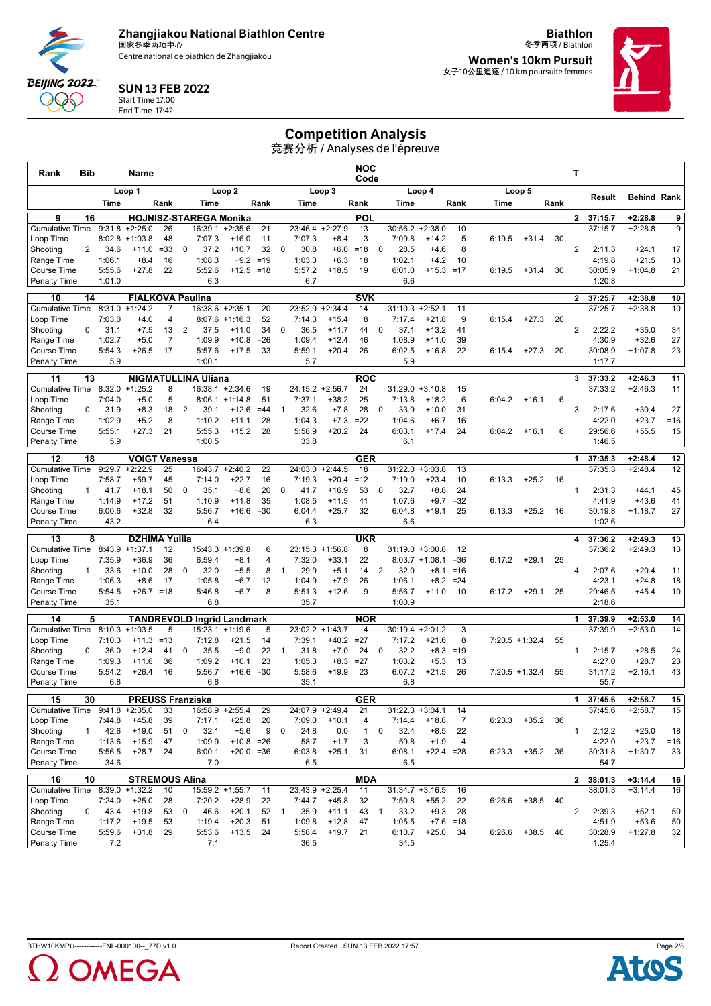Centre national de biathlon de Zhangjiakou

**Biathlon** 冬季两项 / Biathlon

**Women's 10km Pursuit** 女子10公里追逐 / 10 km poursuite femmes



#### SUN 13 FEB 2022 Start Time 17:00

End Time 17:42

**BEIJING 2022** 999

# Competition Analysis

| Rank                                | Bib            |                  | Name                              |                |                |                                   |                           |              |                |                   |                      | NOC<br>Code       |                |                    |                                        |                      |        |                   |      | т              |                    |                        |             |
|-------------------------------------|----------------|------------------|-----------------------------------|----------------|----------------|-----------------------------------|---------------------------|--------------|----------------|-------------------|----------------------|-------------------|----------------|--------------------|----------------------------------------|----------------------|--------|-------------------|------|----------------|--------------------|------------------------|-------------|
|                                     |                |                  | Loop 1                            |                |                |                                   | Loop <sub>2</sub>         |              |                |                   | Loop 3               |                   |                |                    | Loop 4                                 |                      |        | Loop 5            |      |                |                    |                        |             |
|                                     |                | Time             |                                   | Rank           |                | Time                              |                           | Rank         |                | Time              |                      | Rank              |                | Time               |                                        | Rank                 | Time   |                   | Rank |                | Result             | <b>Behind Rank</b>     |             |
| 9                                   | 16             |                  |                                   |                |                | <b>HOJNISZ-STAREGA Monika</b>     |                           |              |                |                   |                      | <b>POL</b>        |                |                    |                                        |                      |        |                   |      | $\mathbf{2}$   | 37:15.7            | $+2:28.8$              | 9           |
| <b>Cumulative Time</b>              |                | 9:31.8           | $+2:25.0$                         | 26             |                | 16:39.1                           | $+2:35.6$                 | 21           |                | 23:46.4           | $+2:27.9$            | 13                |                | 30:56.2            | $+2:38.0$                              | 10                   |        |                   |      |                | 37:15.7            | $+2:28.8$              | 9           |
| Loop Time<br>Shooting               | $\overline{2}$ | 34.6             | $8:02.8$ +1:03.8<br>$+11.0$       | 48<br>$= 33$   | 0              | 7:07.3<br>37.2                    | $+16.0$<br>$+10.7$        | 11<br>32     | $\mathbf 0$    | 7:07.3<br>30.8    | $+8.4$<br>$+6.0$     | 3<br>$=18$        | 0              | 7:09.8<br>28.5     | $+14.2$<br>$+4.6$                      | 5<br>8               | 6:19.5 | $+31.4$           | 30   | $\overline{2}$ | 2:11.3             | $+24.1$                | 17          |
| Range Time                          |                | 1:06.1           | $+8.4$                            | 16             |                | 1:08.3                            | $+9.2$                    | $=19$        |                | 1:03.3            | $+6.3$               | 18                |                | 1:02.1             | $+4.2$                                 | 10                   |        |                   |      |                | 4:19.8             | $+21.5$                | 13          |
| Course Time                         |                | 5:55.6           | $+27.8$                           | 22             |                | 5:52.6                            | $+12.5 = 18$              |              |                | 5:57.2            | $+18.5$              | 19                |                | 6:01.0             | $+15.3 = 17$                           |                      | 6:19.5 | $+31.4$           | 30   |                | 30:05.9            | $+1:04.8$              | 21          |
| <b>Penalty Time</b>                 |                | 1:01.0           |                                   |                |                | 6.3                               |                           |              |                | 6.7               |                      |                   |                | 6.6                |                                        |                      |        |                   |      |                | 1:20.8             |                        |             |
| 10                                  | 14             |                  | <b>FIALKOVA Paulina</b>           |                |                |                                   |                           |              |                |                   |                      | <b>SVK</b>        |                |                    |                                        |                      |        |                   |      | $\overline{2}$ | 37:25.7            | $+2:38.8$              | 10          |
| <b>Cumulative Time</b>              |                | 8:31.0           | $+1:24.2$                         | 7              |                | 16:38.6 +2:35.1                   |                           | 20           |                | 23:52.9           | $+2:34.4$            | 14                |                | $31:10.3 +2:52.1$  |                                        | 11                   |        |                   |      |                | 37:25.7            | $+2:38.8$              | 10          |
| Loop Time                           |                | 7:03.0           | $+4.0$                            | $\overline{4}$ |                |                                   | $8:07.6 +1:16.3$          | 52           |                | 7:14.3            | $+15.4$              | 8                 |                | 7:17.4             | $+21.8$                                | 9                    | 6:15.4 | $+27.3$           | 20   |                |                    |                        |             |
| Shooting<br>Range Time              | 0              | 31.1<br>1:02.7   | $+7.5$<br>$+5.0$                  | 13<br>7        | $\overline{2}$ | 37.5<br>1:09.9                    | $+11.0$<br>$+10.8$        | 34<br>$= 26$ | 0              | 36.5<br>1:09.4    | $+11.7$<br>$+12.4$   | 44<br>46          | 0              | 37.1<br>1:08.9     | $+13.2$<br>$+11.0$                     | 41<br>39             |        |                   |      | $\overline{2}$ | 2:22.2<br>4:30.9   | $+35.0$<br>$+32.6$     | 34<br>27    |
| Course Time                         |                | 5:54.3           | $+26.5$                           | 17             |                | 5:57.6                            | $+17.5$                   | 33           |                | 5:59.1            | $+20.4$              | 26                |                | 6:02.5             | $+16.8$                                | 22                   | 6:15.4 | $+27.3$           | 20   |                | 30:08.9            | $+1:07.8$              | 23          |
| <b>Penalty Time</b>                 |                | 5.9              |                                   |                |                | 1:00.1                            |                           |              |                | 5.7               |                      |                   |                | 5.9                |                                        |                      |        |                   |      |                | 1:17.7             |                        |             |
| 11                                  | 13             |                  |                                   |                |                | <b>NIGMATULLINA Uliana</b>        |                           |              |                |                   |                      | <b>ROC</b>        |                |                    |                                        |                      |        |                   |      | 3              | 37:33.2            | $+2:46.3$              | 11          |
| <b>Cumulative Time</b>              |                | 8:32.0           | $+1:25.2$                         | 8              |                | 16:38.1                           | $+2:34.6$                 | 19           |                | 24:15.2           | $+2:56.7$            | 24                |                |                    | $31:29.0 + 3:10.8$                     | 15                   |        |                   |      |                | 37:33.2            | $+2:46.3$              | 11          |
| Loop Time                           |                | 7:04.0           | $+5.0$                            | 5              |                |                                   | $8:06.1 +1:14.8$          | 51           |                | 7:37.1            | $+38.2$              | 25                |                | 7:13.8             | $+18.2$                                | 6                    | 6:04.2 | $+16.1$           | 6    |                |                    |                        |             |
| Shooting                            | 0              | 31.9             | $+8.3$                            | 18             | 2              | 39.1                              | $+12.6$                   | $=44$        | $\mathbf{1}$   | 32.6              | $+7.8$               | 28                | 0              | 33.9               | $+10.0$                                | 31                   |        |                   |      | 3              | 2:17.6             | $+30.4$                | 27          |
| Range Time                          |                | 1:02.9<br>5:55.1 | $+5.2$<br>$+27.3$                 | 8<br>21        |                | 1:10.2<br>5:55.3                  | $+11.1$<br>$+15.2$        | 28<br>28     |                | 1:04.3<br>5:58.9  | $+7.3$<br>$+20.2$    | $=22$<br>24       |                | 1:04.6<br>6:03.1   | $+6.7$                                 | 16<br>24             | 6:04.2 |                   | 6    |                | 4:22.0<br>29:56.6  | $+23.7$<br>$+55.5$     | $=16$       |
| Course Time<br><b>Penalty Time</b>  |                | 5.9              |                                   |                |                | 1:00.5                            |                           |              |                | 33.8              |                      |                   |                | 6.1                | $+17.4$                                |                      |        | $+16.1$           |      |                | 1:46.5             |                        | 15          |
|                                     |                |                  |                                   |                |                |                                   |                           |              |                |                   |                      |                   |                |                    |                                        |                      |        |                   |      |                |                    |                        |             |
| 12<br><b>Cumulative Time</b>        | 18             | 9:29.7           | <b>VOIGT Vanessa</b><br>$+2:22.9$ | 25             |                | 16:43.7                           | $+2:40.2$                 | 22           |                | 24:03.0           | $+2:44.5$            | <b>GER</b><br>18  |                | 31:22.0            | $+3:03.8$                              | 13                   |        |                   |      | 1              | 37:35.3<br>37:35.3 | $+2:48.4$<br>$+2:48.4$ | 12<br>12    |
| Loop Time                           |                | 7:58.7           | $+59.7$                           | 45             |                | 7:14.0                            | $+22.7$                   | 16           |                | 7:19.3            | $+20.4$              | $=12$             |                | 7:19.0             | $+23.4$                                | 10                   | 6:13.3 | $+25.2$           | 16   |                |                    |                        |             |
| Shooting                            | $\mathbf{1}$   | 41.7             | $+18.1$                           | 50             | 0              | 35.1                              | $+8.6$                    | 20           | $\mathbf 0$    | 41.7              | $+16.9$              | 53                | 0              | 32.7               | $+8.8$                                 | 24                   |        |                   |      | $\mathbf{1}$   | 2:31.3             | $+44.1$                | 45          |
| Range Time                          |                | 1:14.9           | $+17.2$                           | 51             |                | 1:10.9                            | $+11.8$                   | 35           |                | 1:08.5            | $+11.5$              | 41                |                | 1:07.6             | $+9.7$                                 | $=32$                |        |                   |      |                | 4:41.9             | $+43.6$                | 41          |
| <b>Course Time</b>                  |                | 6:00.6           | $+32.8$                           | 32             |                | 5:56.7                            | $+16.6 = 30$              |              |                | 6:04.4            | $+25.7$              | 32                |                | 6:04.8             | $+19.1$                                | 25                   | 6:13.3 | $+25.2$           | 16   |                | 30:19.8            | $+1:18.7$              | 27          |
| <b>Penalty Time</b>                 |                | 43.2             |                                   |                |                | 6.4                               |                           |              |                | 6.3               |                      |                   |                | 6.6                |                                        |                      |        |                   |      |                | 1:02.6             |                        |             |
| 13                                  | 8              |                  | <b>DZHIMA Yuliia</b>              |                |                |                                   |                           |              |                |                   |                      | <b>UKR</b>        |                |                    |                                        |                      |        |                   |      | 4              | 37:36.2            | $+2:49.3$              | 13          |
| <b>Cumulative Time</b><br>Loop Time |                | 7:35.9           | $8:43.9 +1:37.1$<br>$+36.9$       | 12<br>36       |                | 6:59.4                            | 15:43.3 +1:39.8<br>$+8.1$ | 6<br>4       |                | 23:15.3<br>7:32.0 | $+1:56.8$<br>$+33.1$ | 8<br>22           |                |                    | $31:19.0 + 3:00.8$<br>$8:03.7 +1:08.1$ | 12<br>$= 36$         | 6:17.2 | $+29.1$           | 25   |                | 37:36.2            | $+2:49.3$              | 13          |
| Shooting                            | $\mathbf{1}$   | 33.6             | $+10.0$                           | 28             | $\mathbf 0$    | 32.0                              | $+5.5$                    | 8            | $\overline{1}$ | 29.9              | $+5.1$               | 14                | 2              | 32.0               | $+8.1$                                 | $= 16$               |        |                   |      | 4              | 2:07.6             | $+20.4$                | 11          |
| Range Time                          |                | 1:06.3           | $+8.6$                            | 17             |                | 1:05.8                            | $+6.7$                    | 12           |                | 1:04.9            | $+7.9$               | 26                |                | 1:06.1             | $+8.2$                                 | $= 24$               |        |                   |      |                | 4:23.1             | $+24.8$                | 18          |
| Course Time                         |                | 5:54.5           | $+26.7 = 18$                      |                |                | 5:46.8                            | $+6.7$                    | 8            |                | 5:51.3            | $+12.6$              | 9                 |                | 5:56.7             | $+11.0$                                | -10                  | 6:17.2 | $+29.1$           | 25   |                | 29:46.5            | $+45.4$                | 10          |
| <b>Penalty Time</b>                 |                | 35.1             |                                   |                |                | 6.8                               |                           |              |                | 35.7              |                      |                   |                | 1:00.9             |                                        |                      |        |                   |      |                | 2:18.6             |                        |             |
| 14                                  | 5              |                  |                                   |                |                | <b>TANDREVOLD Ingrid Landmark</b> |                           |              |                |                   |                      | <b>NOR</b>        |                |                    |                                        |                      |        |                   |      | 1              | 37:39.9            | $+2:53.0$              | 14          |
| <b>Cumulative Time</b>              |                | 8:10.3           | $+1:03.5$                         | 5              |                | 15:23.1                           | $+1:19.6$                 | 5<br>14      |                | 23:02.2           | $+1:43.7$            | 4<br>$=27$        |                |                    | $30:19.4 +2:01.2$<br>$+21.6$           | 3<br>8               |        |                   |      |                | 37:39.9            | $+2:53.0$              | 14          |
| Loop Time<br>Shooting               | 0              | 7:10.3<br>36.0   | $+11.3$<br>$+12.4$                | =13<br>41      | 0              | 7:12.8<br>35.5                    | $+21.5$<br>$+9.0$         | 22           | $\mathbf{1}$   | 7:39.1<br>31.8    | $+40.2$<br>$+7.0$    | 24                | 0              | 7:17.2<br>32.2     | $+8.3$                                 | $=19$                |        | $7:20.5$ +1:32.4  | 55   | 1              | 2:15.7             | $+28.5$                | 24          |
| Range Time                          |                | 1:09.3           | $+11.6$                           | 36             |                | 1:09.2                            | $+10.1$                   | 23           |                | 1:05.3            | $+8.3$               | $=27$             |                | 1:03.2             | $+5.3$                                 | 13                   |        |                   |      |                | 4:27.0             | $+28.7$                | 23          |
| Course Time                         |                | 5:54.2           | $+26.4$                           | 16             |                | 5:56.7                            | $+16.6 = 30$              |              |                | 5:58.6            | $+19.9$              | 23                |                | 6:07.2             | $+21.5$                                | 26                   |        | $7:20.5$ +1:32.4  | 55   |                | 31:17.2            | $+2:16.1$              | 43          |
| <b>Penalty Time</b>                 |                | 6.8              |                                   |                |                | 6.8                               |                           |              |                | 35.1              |                      |                   |                | 6.8                |                                        |                      |        |                   |      |                | 55.7               |                        |             |
| 15                                  | 30             |                  | <b>PREUSS Franziska</b>           |                |                |                                   |                           |              |                |                   |                      | <b>GER</b>        |                |                    |                                        |                      |        |                   |      | 1              | 37:45.6            | $+2:58.7$              | 15          |
| Cumulative Time 9:41.8 +2:35.0      |                |                  |                                   | 33             |                |                                   | 16:58.9 +2:55.4           | 29           |                | 24:07.9           | $+2:49.4$            | 21                |                | $31:22.3 + 3:04.1$ |                                        | 14                   |        |                   |      |                | 37:45.6            | $+2:58.7$              | 15          |
| Loop Time                           |                | 7:44.8           | $+45.8$                           | 39             |                | 7:17.1                            | $+25.8$                   | 20           |                | 7:09.0            | $+10.1$              | 4                 |                | 7:14.4             | $+18.8$                                | $\overline{7}$       |        | $6:23.3$ +35.2 36 |      |                |                    |                        |             |
| Shooting<br>Range Time              | $\mathbf{1}$   | 42.6<br>1:13.6   | $+19.0$<br>$+15.9$                | 51<br>47       | 0              | 32.1<br>1:09.9                    | $+5.6$<br>$+10.8 = 26$    | 9            | $\mathbf 0$    | 24.8<br>58.7      | 0.0<br>$+1.7$        | $\mathbf{1}$<br>3 | 0              | 32.4<br>59.8       | $+8.5$<br>$+1.9$                       | 22<br>$\overline{4}$ |        |                   |      | 1              | 2:12.2<br>4:22.0   | $+25.0$<br>$+23.7$     | 18<br>$=16$ |
| Course Time                         |                | 5:56.5           | $+28.7$                           | 24             |                | 6:00.1                            | $+20.0 = 36$              |              |                | 6:03.8            | $+25.1$              | 31                |                | 6:08.1             | $+22.4 = 28$                           |                      | 6:23.3 | $+35.2$           | 36   |                | 30:31.8            | $+1:30.7$              | 33          |
| <b>Penalty Time</b>                 |                | 34.6             |                                   |                |                | 7.0                               |                           |              |                | 6.5               |                      |                   |                | 6.5                |                                        |                      |        |                   |      |                | 54.7               |                        |             |
| 16                                  | 10             |                  | <b>STREMOUS Alina</b>             |                |                |                                   |                           |              |                |                   |                      | <b>MDA</b>        |                |                    |                                        |                      |        |                   |      | $\overline{2}$ | 38:01.3            | $+3:14.4$              | 16          |
| Cumulative Time 8:39.0 +1:32.2      |                |                  |                                   | 10             |                | 15:59.2 +1:55.7                   |                           | 11           |                |                   | 23:43.9 +2:25.4      | 11                |                |                    | $31:34.7 + 3:16.5$                     | 16                   |        |                   |      |                | 38:01.3            | $+3:14.4$              | 16          |
| Loop Time                           |                | 7:24.0           | $+25.0$                           | 28             |                | 7:20.2                            | $+28.9$                   | 22           |                | 7:44.7            | $+45.8$              | 32                |                | 7:50.8             | $+55.2$                                | 22                   | 6:26.6 | $+38.5$           | 40   |                |                    |                        |             |
| Shooting                            | 0              | 43.4             | $+19.8$                           | 53             | $\mathbf 0$    | 46.6                              | $+20.1$                   | 52           | $\overline{1}$ | 35.9              | $+11.1$              | 43                | $\overline{1}$ | 33.2               | $+9.3$                                 | 28                   |        |                   |      | $\overline{2}$ | 2:39.3             | $+52.1$                | 50          |
| Range Time<br>Course Time           |                | 1:17.2<br>5:59.6 | $+19.5$<br>$+31.8$                | 53<br>29       |                | 1:19.4<br>5:53.6                  | $+20.3$<br>$+13.5$        | 51<br>24     |                | 1:09.8<br>5:58.4  | $+12.8$<br>$+19.7$   | 47<br>21          |                | 1:05.5<br>6:10.7   | $+25.0$                                | $+7.6 = 18$<br>34    | 6:26.6 | $+38.5$           | 40   |                | 4:51.9<br>30:28.9  | $+53.6$<br>$+1:27.8$   | 50<br>32    |
| <b>Penalty Time</b>                 |                | 7.2              |                                   |                |                | 7.1                               |                           |              |                | 36.5              |                      |                   |                | 34.5               |                                        |                      |        |                   |      |                | 1:25.4             |                        |             |



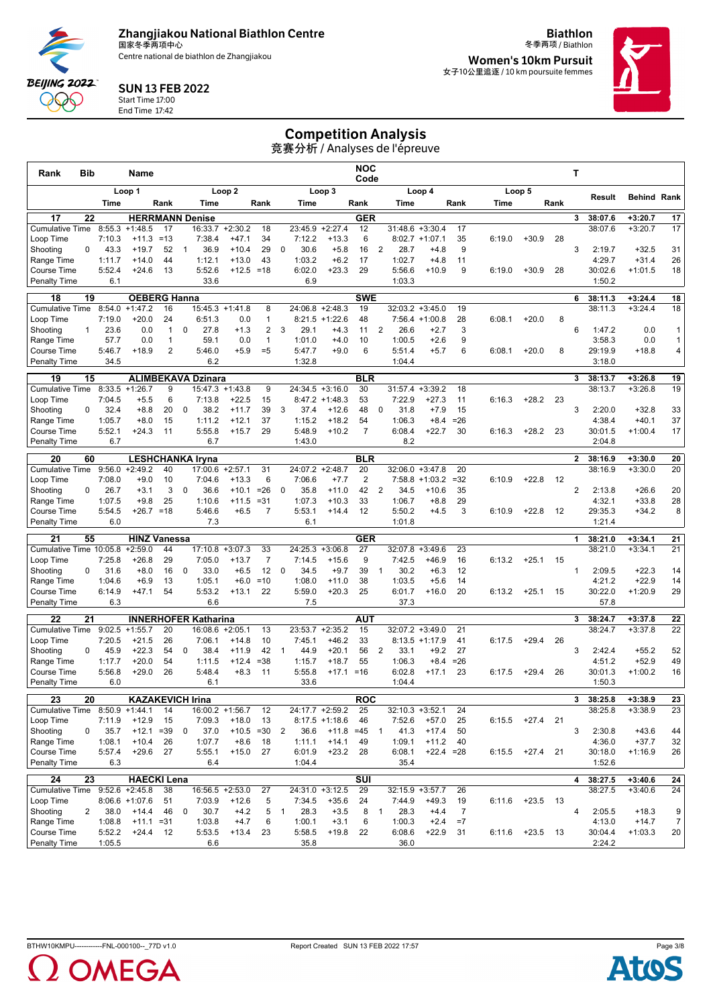Centre national de biathlon de Zhangjiakou

**Biathlon** 冬季两项 / Biathlon

**Women's 10km Pursuit** 女子10公里追逐 / 10 km poursuite femmes



#### SUN 13 FEB 2022 Start Time 17:00

**BEIJING 2022** 999 End Time 17:42

# Competition Analysis

| Rank<br>Bib                        |                  | Name                       |                |              |                                        |                         |                  |                |                  |                             | NOC<br>Code             |                |                    |                    |            |        |                   |      | т            |                    |                        |                      |
|------------------------------------|------------------|----------------------------|----------------|--------------|----------------------------------------|-------------------------|------------------|----------------|------------------|-----------------------------|-------------------------|----------------|--------------------|--------------------|------------|--------|-------------------|------|--------------|--------------------|------------------------|----------------------|
|                                    |                  | Loop 1                     |                |              |                                        | Loop <sub>2</sub>       |                  |                |                  | Loop 3                      |                         |                |                    | Loop 4             |            |        | Loop 5            |      |              |                    |                        |                      |
|                                    | Time             |                            | Rank           |              | Time                                   |                         | Rank             |                | Time             |                             | Rank                    |                | Time               |                    | Rank       | Time   |                   | Rank |              | Result             | <b>Behind Rank</b>     |                      |
| 17<br>22                           |                  | <b>HERRMANN Denise</b>     |                |              |                                        |                         |                  |                |                  |                             | <b>GER</b>              |                |                    |                    |            |        |                   |      | 3            | 38:07.6            | $+3:20.7$              | 17                   |
| <b>Cumulative Time</b>             | 8:55.3           | $+1:48.5$                  | 17             |              | 16:33.7                                | $+2:30.2$               | 18               |                | 23:45.9          | $+2:27.4$                   | 12                      |                | 31:48.6            | $+3:30.4$          | 17         |        |                   |      |              | 38:07.6            | $+3:20.7$              | 17                   |
| Loop Time                          | 7:10.3           | $+11.3$                    | $=13$          |              | 7:38.4                                 | $+47.1$                 | 34               |                | 7:12.2           | $+13.3$                     | 6                       |                |                    | $8:02.7 +1:07.1$   | 35         | 6:19.0 | $+30.9$           | 28   |              |                    |                        |                      |
| Shooting<br>0<br>Range Time        | 43.3<br>1:11.7   | $+19.7$<br>$+14.0$         | 52<br>44       | $\mathbf{1}$ | 36.9<br>1:12.1                         | $+10.4$<br>$+13.0$      | 29<br>43         | $\mathbf 0$    | 30.6<br>1:03.2   | $+5.8$<br>$+6.2$            | 16<br>17                | 2              | 28.7<br>1:02.7     | $+4.8$<br>$+4.8$   | 9<br>11    |        |                   |      | 3            | 2:19.7<br>4:29.7   | $+32.5$<br>$+31.4$     | 31<br>26             |
| Course Time                        | 5:52.4           | $+24.6$                    | 13             |              | 5:52.6                                 | $+12.5 = 18$            |                  |                | 6:02.0           | $+23.3$                     | 29                      |                | 5:56.6             | $+10.9$            | 9          | 6:19.0 | $+30.9$           | 28   |              | 30:02.6            | $+1:01.5$              | 18                   |
| <b>Penalty Time</b>                | 6.1              |                            |                |              | 33.6                                   |                         |                  |                | 6.9              |                             |                         |                | 1:03.3             |                    |            |        |                   |      |              | 1:50.2             |                        |                      |
| 19<br>18                           |                  | <b>OEBERG Hanna</b>        |                |              |                                        |                         |                  |                |                  |                             | <b>SWE</b>              |                |                    |                    |            |        |                   |      | 6            | 38:11.3            | $+3:24.4$              | 18                   |
| <b>Cumulative Time</b>             | 8:54.0           | $+1:47.2$                  | 16             |              | 15:45.3                                | $+1:41.8$               | 8                |                | 24:06.8          | $+2:48.3$                   | 19                      |                |                    | $32:03.2 +3:45.0$  | 19         |        |                   |      |              | 38:11.3            | $+3:24.4$              | 18                   |
| Loop Time                          | 7:19.0           | $+20.0$                    | 24             |              | 6:51.3                                 | 0.0                     | $\mathbf{1}$     |                |                  | $8:21.5 +1:22.6$            | 48                      |                |                    | $7:56.4 +1:00.8$   | 28         | 6:08.1 | $+20.0$           | 8    |              |                    |                        |                      |
| Shooting<br>1                      | 23.6             | 0.0                        | $\mathbf{1}$   | $\mathbf 0$  | 27.8                                   | $+1.3$                  | $\overline{2}$   | 3              | 29.1             | $+4.3$                      | 11                      | $\overline{2}$ | 26.6               | $+2.7$             | 3          |        |                   |      | 6            | 1:47.2             | 0.0                    | $\mathbf{1}$         |
| Range Time                         | 57.7             | 0.0                        | 1              |              | 59.1                                   | 0.0                     | $\mathbf{1}$     |                | 1:01.0           | $+4.0$                      | 10                      |                | 1:00.5             | $+2.6$             | 9          |        |                   |      |              | 3:58.3             | 0.0                    | $\mathbf{1}$         |
| Course Time<br><b>Penalty Time</b> | 5:46.7<br>34.5   | $+18.9$                    | $\overline{2}$ |              | 5:46.0<br>6.2                          | $+5.9$                  | $= 5$            |                | 5:47.7<br>1:32.8 | $+9.0$                      | 6                       |                | 5:51.4<br>1:04.4   | $+5.7$             | 6          | 6:08.1 | $+20.0$           | 8    |              | 29:19.9<br>3:18.0  | $+18.8$                | 4                    |
|                                    |                  |                            |                |              |                                        |                         |                  |                |                  |                             |                         |                |                    |                    |            |        |                   |      |              |                    |                        |                      |
| 15<br>19<br><b>Cumulative Time</b> | 8:33.5           | $+1:26.7$                  | 9              |              | <b>ALIMBEKAVA Dzinara</b><br>15:47.3   | $+1:43.8$               | 9                |                |                  | $24:34.5 + 3:16.0$          | <b>BLR</b><br>30        |                |                    | $31:57.4 + 3:39.2$ | 18         |        |                   |      | 3            | 38:13.7<br>38:13.7 | $+3:26.8$<br>$+3:26.8$ | 19<br>19             |
| Loop Time                          | 7:04.5           | $+5.5$                     | 6              |              | 7:13.8                                 | $+22.5$                 | 15               |                |                  | $8:47.2 +1:48.3$            | 53                      |                | 7:22.9             | $+27.3$            | 11         | 6:16.3 | $+28.2$           | 23   |              |                    |                        |                      |
| Shooting<br>0                      | 32.4             | $+8.8$                     | 20             | $\mathbf 0$  | 38.2                                   | $+11.7$                 | 39               | 3              | 37.4             | $+12.6$                     | 48                      | $\mathbf 0$    | 31.8               | $+7.9$             | 15         |        |                   |      | 3            | 2:20.0             | $+32.8$                | 33                   |
| Range Time                         | 1:05.7           | $+8.0$                     | 15             |              | 1:11.2                                 | $+12.1$                 | 37               |                | 1:15.2           | $+18.2$                     | 54                      |                | 1:06.3             | $+8.4$             | $= 26$     |        |                   |      |              | 4:38.4             | $+40.1$                | 37                   |
| Course Time                        | 5:52.1           | $+24.3$                    | 11             |              | 5:55.8                                 | $+15.7$                 | 29               |                | 5:48.9           | $+10.2$                     | $\overline{7}$          |                | 6:08.4             | $+22.7$            | 30         | 6:16.3 | $+28.2$           | 23   |              | 30:01.5            | $+1:00.4$              | 17                   |
| Penalty Time                       | 6.7              |                            |                |              | 6.7                                    |                         |                  |                | 1:43.0           |                             |                         |                | 8.2                |                    |            |        |                   |      |              | 2:04.8             |                        |                      |
| 20<br>60                           |                  | <b>LESHCHANKA Iryna</b>    |                |              |                                        |                         |                  |                |                  |                             | <b>BLR</b>              |                |                    |                    |            |        |                   |      | $\mathbf{2}$ | 38:16.9            | $+3:30.0$              | 20                   |
| <b>Cumulative Time</b>             | 9:56.0           | $+2:49.2$                  | 40             |              | 17:00.6                                | $+2:57.1$               | 31               |                | 24:07.2          | $+2:48.7$                   | 20                      |                |                    | $32:06.0 + 3:47.8$ | 20         |        |                   |      |              | 38:16.9            | $+3:30.0$              | 20                   |
| Loop Time                          | 7:08.0           | $+9.0$                     | 10             |              | 7:04.6                                 | $+13.3$                 | 6                |                | 7:06.6           | $+7.7$                      | $\overline{2}$          |                |                    | $7:58.8 + 1:03.2$  | $= 32$     | 6:10.9 | $+22.8$           | -12  | 2            |                    |                        |                      |
| Shooting<br>0<br>Range Time        | 26.7<br>1:07.5   | $+3.1$<br>$+9.8$           | 3<br>25        | 0            | 36.6<br>1:10.6                         | $+10.1$<br>$+11.5$      | $= 26$<br>$= 31$ | 0              | 35.8<br>1:07.3   | $+11.0$<br>$+10.3$          | 42<br>33                | 2              | 34.5<br>1:06.7     | $+10.6$<br>$+8.8$  | 35<br>29   |        |                   |      |              | 2:13.8<br>4:32.1   | $+26.6$<br>$+33.8$     | 20<br>28             |
| Course Time                        | 5:54.5           | $+26.7 = 18$               |                |              | 5:46.6                                 | $+6.5$                  | $\overline{7}$   |                | 5:53.1           | $+14.4$                     | 12                      |                | 5:50.2             | $+4.5$             | 3          | 6:10.9 | $+22.8$           | 12   |              | 29:35.3            | $+34.2$                | 8                    |
| <b>Penalty Time</b>                | 6.0              |                            |                |              | 7.3                                    |                         |                  |                | 6.1              |                             |                         |                | 1:01.8             |                    |            |        |                   |      |              | 1:21.4             |                        |                      |
| 21<br>55                           |                  | <b>HINZ Vanessa</b>        |                |              |                                        |                         |                  |                |                  |                             | <b>GER</b>              |                |                    |                    |            |        |                   |      | 1            | 38:21.0            | $+3:34.1$              | 21                   |
| Cumulative Time 10:05.8 +2:59.0    |                  |                            | 44             |              | 17:10.8                                | $+3:07.3$               | 33               |                | 24:25.3          | $+3:06.8$                   | 27                      |                |                    | $32:07.8 + 3:49.6$ | 23         |        |                   |      |              | 38:21.0            | $+3:34.1$              | 21                   |
| Loop Time                          | 7:25.8           | $+26.8$                    | 29             |              | 7:05.0                                 | $+13.7$                 | $\overline{7}$   |                | 7:14.5           | $+15.6$                     | 9                       |                | 7:42.5             | $+46.9$            | 16         | 6:13.2 | $+25.1$           | 15   |              |                    |                        |                      |
| Shooting<br>0                      | 31.6             | $+8.0$                     | 16             | $\mathbf 0$  | 33.0                                   | $+6.5$                  | 12               | $\mathbf 0$    | 34.5             | $+9.7$                      | 39                      | $\overline{1}$ | 30.2               | $+6.3$             | 12         |        |                   |      | $\mathbf{1}$ | 2:09.5             | $+22.3$                | 14                   |
| Range Time                         | 1:04.6           | $+6.9$                     | 13             |              | 1:05.1                                 | $+6.0$                  | $=10$            |                | 1:08.0           | $+11.0$                     | 38                      |                | 1:03.5             | $+5.6$             | 14         |        |                   |      |              | 4:21.2             | $+22.9$                | 14                   |
| Course Time<br><b>Penalty Time</b> | 6:14.9<br>6.3    | $+47.1$                    | 54             |              | 5:53.2<br>6.6                          | $+13.1$                 | 22               |                | 5:59.0<br>7.5    | $+20.3$                     | 25                      |                | 6:01.7<br>37.3     | $+16.0$            | 20         | 6:13.2 | $+25.1$           | 15   |              | 30:22.0<br>57.8    | $+1:20.9$              | 29                   |
|                                    |                  |                            |                |              |                                        |                         |                  |                |                  |                             |                         |                |                    |                    |            |        |                   |      |              |                    |                        |                      |
| 21<br>22<br><b>Cumulative Time</b> | 9:02.5           | $+1:55.7$                  | 20             |              | <b>INNERHOFER Katharina</b><br>16:08.6 | $+2:05.1$               | 13               |                | 23:53.7          | $+2:35.2$                   | AUT<br>15               |                |                    | 32:07.2 +3:49.0    | 21         |        |                   |      | 3            | 38:24.7<br>38:24.7 | $+3:37.8$<br>$+3:37.8$ | 22<br>22             |
| Loop Time                          | 7:20.5           | $+21.5$                    | 26             |              | 7:06.1                                 | $+14.8$                 | 10               |                | 7:45.1           | $+46.2$                     | 33                      |                |                    | $8:13.5 +1:17.9$   | 41         | 6:17.5 | $+29.4$           | 26   |              |                    |                        |                      |
| Shooting<br>0                      | 45.9             | $+22.3$                    | 54             | $\mathbf 0$  | 38.4                                   | $+11.9$                 | 42               | $\mathbf{1}$   | 44.9             | $+20.1$                     | 56                      | 2              | 33.1               | $+9.2$             | 27         |        |                   |      | 3            | 2:42.4             | $+55.2$                | 52                   |
| Range Time                         | 1:17.7           | $+20.0$                    | 54             |              | 1:11.5                                 | $+12.4$                 | $= 38$           |                | 1:15.7           | $+18.7$                     | 55                      |                | 1:06.3             | $+8.4$             | $= 26$     |        |                   |      |              | 4:51.2             | $+52.9$                | 49                   |
| Course Time                        | 5:56.8           | $+29.0$                    | 26             |              | 5:48.4                                 | $+8.3$                  | 11               |                | 5:55.8           | $+17.1 = 16$                |                         |                | 6:02.8             | $+17.1$            | 23         | 6:17.5 | $+29.4$           | 26   |              | 30:01.3            | $+1:00.2$              | 16                   |
| <b>Penalty Time</b>                | 6.0              |                            |                |              | 6.1                                    |                         |                  |                | 33.6             |                             |                         |                | 1:04.4             |                    |            |        |                   |      |              | 1:50.3             |                        |                      |
| 20<br>23                           |                  | <b>KAZAKEVICH Irina</b>    |                |              |                                        |                         |                  |                |                  |                             | <b>ROC</b>              |                |                    |                    |            |        |                   |      | 3            | 38:25.8            | $+3:38.9$              | 23                   |
| Cumulative Time 8:50.9 +1:44.1     |                  |                            | 14             |              | 16:00.2 +1:56.7                        |                         | 12               |                |                  | 24:17.7 +2:59.2             | 25                      |                |                    | $32:10.3 + 3:52.1$ | 24         |        |                   |      |              | 38:25.8            | $+3:38.9$              | 23                   |
| Loop Time<br>Shooting<br>0         | 7:11.9<br>35.7   | $+12.9$<br>$+12.1$         | 15<br>$= 39$   | $\mathbf 0$  | 7:09.3<br>37.0                         | $+18.0$<br>$+10.5 = 30$ | 13               | $\overline{2}$ | 36.6             | $8:17.5 +1:18.6$<br>$+11.8$ | 46<br>$=45$             | $\mathbf{1}$   | 7:52.6<br>41.3     | $+57.0$<br>$+17.4$ | 25<br>50   |        | $6:15.5$ +27.4 21 |      | 3            | 2:30.8             | $+43.6$                | 44                   |
| Range Time                         | 1:08.1           | $+10.4$                    | 26             |              | 1:07.7                                 | $+8.6$                  | 18               |                | 1:11.1           | $+14.1$                     | 49                      |                | 1:09.1             | $+11.2$            | 40         |        |                   |      |              | 4:36.0             | $+37.7$                | 32                   |
| Course Time                        | 5:57.4           | $+29.6$ 27                 |                |              | 5:55.1                                 | $+15.0$                 | 27               |                | 6:01.9           | $+23.2$                     | 28                      |                | 6:08.1             | $+22.4 = 28$       |            | 6:15.5 | $+27.4$ 21        |      |              | 30:18.0            | $+1:16.9$              | 26                   |
| <b>Penalty Time</b>                | 6.3              |                            |                |              | 6.4                                    |                         |                  |                | 1:04.4           |                             |                         |                | 35.4               |                    |            |        |                   |      |              | 1:52.6             |                        |                      |
| 24<br>23                           |                  | <b>HAECKI Lena</b>         |                |              |                                        |                         |                  |                |                  |                             | $\overline{\text{SUI}}$ |                |                    |                    |            |        |                   |      | 4            | 38:27.5            | $+3:40.6$              | 24                   |
| Cumulative Time 9:52.6 +2:45.8     |                  |                            | 38             |              | $16:56.5 + 2:53.0$                     |                         | 27               |                |                  | 24:31.0 +3:12.5             | 29                      |                | $32:15.9 + 3:57.7$ |                    | 26         |        |                   |      |              | 38:27.5            | $+3:40.6$              | 24                   |
| Loop Time                          |                  | $8:06.6 + 1:07.6$          | 51             |              | 7:03.9                                 | $+12.6$                 | 5                |                | 7:34.5           | $+35.6$                     | 24                      |                | 7:44.9             | $+49.3$            | 19         | 6:11.6 | $+23.5$ 13        |      |              |                    |                        |                      |
| Shooting<br>$\overline{2}$         | 38.0             | $+14.4$                    | 46             | $\mathbf 0$  | 30.7                                   | $+4.2$                  | 5                | $\overline{1}$ | 28.3             | $+3.5$                      | 8                       | $\mathbf{1}$   | 28.3               | $+4.4$             | 7          |        |                   |      | 4            | 2:05.5             | $+18.3$                | 9                    |
| Range Time<br>Course Time          | 1:08.8<br>5:52.2 | $+11.1 = 31$<br>$+24.4$ 12 |                |              | 1:03.8<br>5:53.5                       | $+4.7$<br>$+13.4$       | 6<br>23          |                | 1:00.1<br>5:58.5 | $+3.1$<br>$+19.8$           | 6<br>22                 |                | 1:00.3<br>6:08.6   | $+2.4$<br>$+22.9$  | $=7$<br>31 | 6:11.6 | $+23.5$ 13        |      |              | 4:13.0<br>30:04.4  | $+14.7$<br>$+1:03.3$   | $\overline{7}$<br>20 |
| <b>Penalty Time</b>                | 1:05.5           |                            |                |              | 6.6                                    |                         |                  |                | 35.8             |                             |                         |                | 36.0               |                    |            |        |                   |      |              | 2:24.2             |                        |                      |



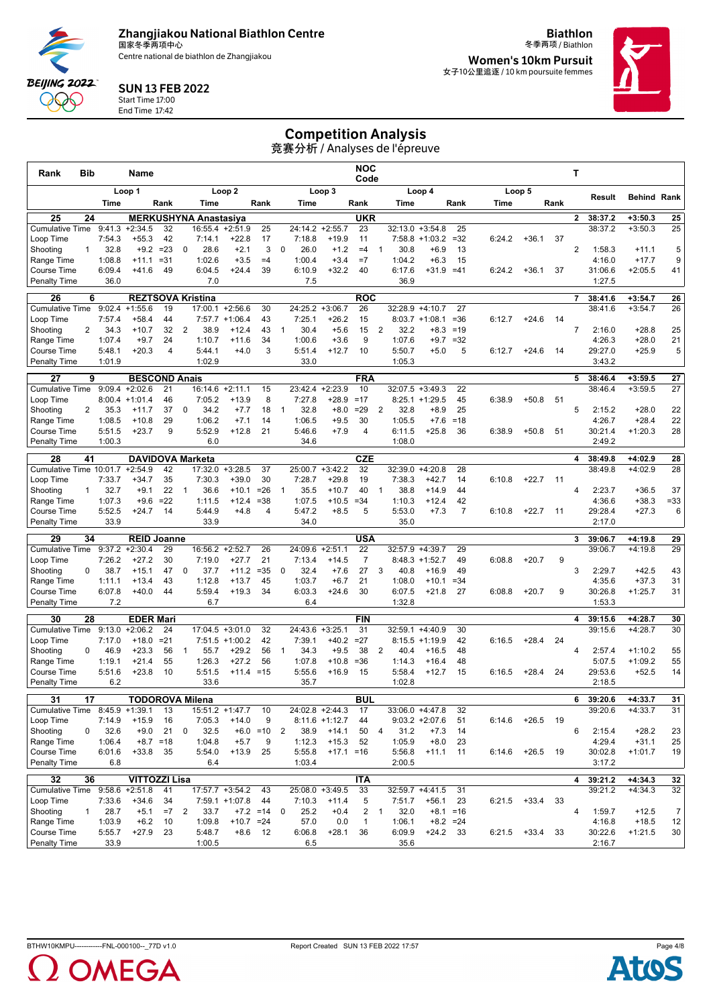Centre national de biathlon de Zhangjiakou

**Biathlon** 冬季两项 / Biathlon

**Women's 10km Pursuit** 女子10公里追逐 / 10 km poursuite femmes



SUN 13 FEB 2022 Start Time 17:00

End Time 17:42

**BEIJING 2022** QQQ

### Competition Analysis

| Rank                                      | Bib             |                  | Name                                   |                |                |                              |                               |                  |                |                   |                              | <b>NOC</b><br>Code             |                |                  |                                |                            |        |            |      | Т              |                    |                        |                      |
|-------------------------------------------|-----------------|------------------|----------------------------------------|----------------|----------------|------------------------------|-------------------------------|------------------|----------------|-------------------|------------------------------|--------------------------------|----------------|------------------|--------------------------------|----------------------------|--------|------------|------|----------------|--------------------|------------------------|----------------------|
|                                           |                 |                  | Loop 1                                 |                |                |                              | Loop <sub>2</sub>             |                  |                |                   | Loop 3                       |                                |                |                  | Loop 4                         |                            |        | Loop 5     |      |                |                    |                        |                      |
|                                           |                 | Time             |                                        | Rank           |                | Time                         |                               | Rank             |                | Time              |                              | Rank                           |                | Time             |                                | Rank                       | Time   |            | Rank |                | Result             | <b>Behind Rank</b>     |                      |
| 25                                        | 24              |                  |                                        |                |                | <b>MERKUSHYNA Anastasiya</b> |                               |                  |                |                   |                              | <b>UKR</b>                     |                |                  |                                |                            |        |            |      | $\mathbf{2}$   | 38:37.2            | $+3:50.3$              | 25                   |
| <b>Cumulative Time</b><br>Loop Time       |                 | 9:41.3<br>7:54.3 | $+2:34.5$<br>$+55.3$                   | 32<br>42       |                | 16:55.4<br>7:14.1            | $+2:51.9$<br>$+22.8$          | 25<br>17         |                | 24:14.2<br>7:18.8 | $+2:55.7$<br>$+19.9$         | 23<br>11                       |                | 32:13.0          | $+3:54.8$<br>$7:58.8 + 1:03.2$ | 25<br>$=32$                | 6:24.2 | $+36.1$    | 37   |                | 38:37.2            | $+3:50.3$              | 25                   |
| Shooting                                  | $\mathbf{1}$    | 32.8             | $+9.2$                                 | $= 23$         | 0              | 28.6                         | $+2.1$                        | 3                | $\mathbf 0$    | 26.0              | $+1.2$                       | $=4$                           | $\mathbf{1}$   | 30.8             | $+6.9$                         | 13                         |        |            |      | $\overline{2}$ | 1:58.3             | $+11.1$                | 5                    |
| Range Time                                |                 | 1:08.8           | $+11.1$                                | $= 31$         |                | 1:02.6                       | $+3.5$                        | $=4$             |                | 1:00.4            | $+3.4$                       | $=7$                           |                | 1:04.2           | $+6.3$                         | 15                         |        |            |      |                | 4:16.0             | $+17.7$                | 9                    |
| Course Time                               |                 | 6:09.4           | $+41.6$                                | 49             |                | 6:04.5                       | $+24.4$                       | 39               |                | 6:10.9            | $+32.2$                      | 40                             |                | 6:17.6           | $+31.9$                        | $=41$                      | 6:24.2 | $+36.1$    | 37   |                | 31:06.6            | $+2:05.5$              | 41                   |
| <b>Penalty Time</b>                       |                 | 36.0             |                                        |                |                | 7.0                          |                               |                  |                | 7.5               |                              |                                |                | 36.9             |                                |                            |        |            |      |                | 1:27.5             |                        |                      |
| 26                                        | 6               |                  | <b>REZTSOVA Kristina</b>               |                |                |                              |                               |                  |                |                   |                              | <b>ROC</b>                     |                |                  |                                |                            |        |            |      | 7              | 38:41.6            | $+3:54.7$              | 26                   |
| <b>Cumulative Time</b>                    |                 | 9:02.4           | $+1:55.6$                              | 19             |                | 17:00.1                      | $+2:56.6$                     | 30               |                | 24:25.2           | $+3:06.7$                    | 26                             |                |                  | 32:28.9 +4:10.7                | 27                         |        |            |      |                | 38:41.6            | $+3:54.7$              | 26                   |
| Loop Time                                 |                 | 7:57.4           | $+58.4$                                | 44             |                | 7:57.7                       | $+1:06.4$                     | 43               |                | 7:25.1            | $+26.2$                      | 15                             |                |                  | $8:03.7 +1:08.1$               | $= 36$                     | 6:12.7 | $+24.6$    | 14   |                |                    |                        |                      |
| Shooting<br>Range Time                    | 2               | 34.3<br>1:07.4   | $+10.7$<br>$+9.7$                      | 32<br>24       | $\overline{2}$ | 38.9<br>1:10.7               | $+12.4$<br>$+11.6$            | 43<br>34         | $\mathbf{1}$   | 30.4<br>1:00.6    | $+5.6$<br>$+3.6$             | 15<br>9                        | 2              | 32.2<br>1:07.6   | $+8.3$<br>$+9.7$               | $=19$<br>$=32$             |        |            |      | $\overline{7}$ | 2:16.0<br>4:26.3   | $+28.8$<br>$+28.0$     | 25<br>21             |
| Course Time                               |                 | 5:48.1           | $+20.3$                                | $\overline{4}$ |                | 5:44.1                       | $+4.0$                        | 3                |                | 5:51.4            | $+12.7$                      | 10                             |                | 5:50.7           | $+5.0$                         | 5                          | 6:12.7 | $+24.6$    | 14   |                | 29:27.0            | $+25.9$                | 5                    |
| <b>Penalty Time</b>                       |                 | 1:01.9           |                                        |                |                | 1:02.9                       |                               |                  |                | 33.0              |                              |                                |                | 1:05.3           |                                |                            |        |            |      |                | 3:43.2             |                        |                      |
| 27                                        | 9               |                  | <b>BESCOND Anais</b>                   |                |                |                              |                               |                  |                |                   |                              | <b>FRA</b>                     |                |                  |                                |                            |        |            |      | 5              | 38:46.4            | $+3:59.5$              | 27                   |
| <b>Cumulative Time</b>                    |                 | 9:09.4           | $+2:02.6$                              | 21             |                | 16:14.6 +2:11.1              |                               | 15               |                | 23:42.4           | $+2:23.9$                    | 10                             |                |                  | $32:07.5 + 3:49.3$             | 22                         |        |            |      |                | 38:46.4            | $+3:59.5$              | 27                   |
| Loop Time                                 |                 | 8:00.4           | $+1:01.4$                              | 46             |                | 7:05.2                       | $+13.9$                       | 8                |                | 7:27.8            | $+28.9$                      | $=17$                          |                |                  | $8:25.1 + 1:29.5$              | 45                         | 6:38.9 | $+50.8$    | 51   |                |                    |                        |                      |
| Shooting                                  | 2               | 35.3             | $+11.7$                                | 37             | 0              | 34.2                         | $+7.7$                        | 18               | $\mathbf{1}$   | 32.8              | $+8.0$                       | $=29$                          | 2              | 32.8             | $+8.9$                         | 25                         |        |            |      | 5              | 2:15.2             | $+28.0$                | 22                   |
| Range Time<br><b>Course Time</b>          |                 | 1:08.5<br>5:51.5 | $+10.8$<br>$+23.7$                     | 29<br>9        |                | 1:06.2<br>5:52.9             | $+7.1$<br>$+12.8$             | 14<br>21         |                | 1:06.5<br>5:46.6  | $+9.5$<br>$+7.9$             | 30<br>4                        |                | 1:05.5<br>6:11.5 | $+7.6$<br>$+25.8$              | $=18$<br>36                | 6:38.9 | $+50.8$    | 51   |                | 4:26.7<br>30:21.4  | $+28.4$<br>$+1:20.3$   | 22<br>28             |
| <b>Penalty Time</b>                       |                 | 1:00.3           |                                        |                |                | 6.0                          |                               |                  |                | 34.6              |                              |                                |                | 1:08.0           |                                |                            |        |            |      |                | 2:49.2             |                        |                      |
| 28                                        | 41              |                  | <b>DAVIDOVA Marketa</b>                |                |                |                              |                               |                  |                |                   |                              | <b>CZE</b>                     |                |                  |                                |                            |        |            |      | 4              | 38:49.8            | $+4:02.9$              | 28                   |
| Cumulative Time 10:01.7                   |                 |                  | $+2:54.9$                              | 42             |                | 17:32.0                      | $+3:28.5$                     | 37               |                | 25:00.7           | $+3:42.2$                    | 32                             |                |                  | $32:39.0 +4:20.8$              | 28                         |        |            |      |                | 38:49.8            | $+4:02.9$              | 28                   |
| Loop Time                                 |                 | 7:33.7           | $+34.7$                                | 35             |                | 7:30.3                       | $+39.0$                       | 30               |                | 7:28.7            | $+29.8$                      | 19                             |                | 7:38.3           | $+42.7$                        | 14                         | 6:10.8 | $+22.7$    | -11  |                |                    |                        |                      |
| Shooting                                  | $\mathbf{1}$    | 32.7             | $+9.1$                                 | 22             | $\overline{1}$ | 36.6                         | $+10.1$                       | $= 26$           | $\overline{1}$ | 35.5              | $+10.7$                      | 40                             | $\overline{1}$ | 38.8             | $+14.9$                        | 44                         |        |            |      | $\overline{4}$ | 2:23.7             | $+36.5$                | 37                   |
| Range Time                                |                 | 1:07.3           | $+9.6$                                 | $=22$          |                | 1:11.5                       | $+12.4$                       | $= 38$           |                | 1:07.5            | $+10.5$                      | $= 34$                         |                | 1:10.3           | $+12.4$                        | 42                         |        |            |      |                | 4:36.6             | $+38.3$                | $= 33$               |
| <b>Course Time</b><br><b>Penalty Time</b> |                 | 5:52.5<br>33.9   | $+24.7$                                | 14             |                | 5:44.9<br>33.9               | $+4.8$                        | 4                |                | 5:47.2<br>34.0    | $+8.5$                       | 5                              |                | 5:53.0<br>35.0   | $+7.3$                         | $\overline{7}$             | 6:10.8 | $+22.7$    | -11  |                | 29:28.4<br>2:17.0  | $+27.3$                | 6                    |
|                                           |                 |                  |                                        |                |                |                              |                               |                  |                |                   |                              |                                |                |                  |                                |                            |        |            |      |                |                    |                        |                      |
| 29<br><b>Cumulative Time</b>              | 34              |                  | <b>REID Joanne</b><br>$9:37.2 +2:30.4$ | 29             |                | 16:56.2                      | $+2:52.7$                     | 26               |                | 24:09.6           | $+2:51.1$                    | USA<br>22                      |                |                  | 32:57.9 +4:39.7                | 29                         |        |            |      | 3              | 39:06.7<br>39:06.7 | $+4:19.8$<br>$+4:19.8$ | 29<br>29             |
| Loop Time                                 |                 | 7:26.2           | $+27.2$                                | 30             |                | 7:19.0                       | $+27.7$                       | 21               |                | 7:13.4            | $+14.5$                      | $\overline{7}$                 |                |                  | $8:48.3 +1:52.7$               | 49                         | 6:08.8 | $+20.7$    | 9    |                |                    |                        |                      |
| Shooting                                  | 0               | 38.7             | $+15.1$                                | 47             | 0              | 37.7                         | $+11.2$                       | $= 35$           | 0              | 32.4              | $+7.6$                       | 27                             | 3              | 40.8             | $+16.9$                        | 49                         |        |            |      | 3              | 2:29.7             | $+42.5$                | 43                   |
| Range Time                                |                 | 1:11.1           | $+13.4$                                | 43             |                | 1:12.8                       | $+13.7$                       | 45               |                | 1:03.7            | $+6.7$                       | 21                             |                | 1:08.0           | $+10.1$                        | $= 34$                     |        |            |      |                | 4:35.6             | $+37.3$                | 31                   |
| Course Time                               |                 | 6:07.8           | $+40.0$                                | 44             |                | 5:59.4                       | $+19.3$                       | 34               |                | 6:03.3            | $+24.6$                      | 30                             |                | 6:07.5           | $+21.8$                        | 27                         | 6:08.8 | $+20.7$    | 9    |                | 30:26.8            | $+1:25.7$              | 31                   |
| <b>Penalty Time</b>                       |                 | 7.2              |                                        |                |                | 6.7                          |                               |                  |                | 6.4               |                              |                                |                | 1:32.8           |                                |                            |        |            |      |                | 1:53.3             |                        |                      |
| 30                                        | 28              |                  | <b>EDER Mari</b>                       |                |                |                              |                               |                  |                |                   |                              | <b>FIN</b>                     |                |                  |                                |                            |        |            |      | 4              | 39:15.6            | $+4:28.7$              | 30                   |
| <b>Cumulative Time</b><br>Loop Time       |                 | 9:13.0<br>7:17.0 | $+2:06.2$<br>$+18.0$                   | 24<br>$= 21$   |                | 17:04.5                      | $+3:01.0$<br>$7:51.5 +1:00.2$ | 32<br>42         |                | 24:43.6<br>7:39.1 | $+3:25.1$<br>$+40.2$         | 31<br>$=27$                    |                | 32:59.1          | $+4:40.9$<br>$8:15.5 +1:19.9$  | 30<br>42                   | 6:16.5 | $+28.4$    | 24   |                | 39:15.6            | $+4:28.7$              | 30                   |
| Shooting                                  | 0               | 46.9             | $+23.3$                                | 56             | 1              | 55.7                         | $+29.2$                       | 56               | $\mathbf{1}$   | 34.3              | $+9.5$                       | 38                             | 2              | 40.4             | $+16.5$                        | 48                         |        |            |      | 4              | 2:57.4             | $+1:10.2$              | 55                   |
| Range Time                                |                 | 1:19.1           | $+21.4$                                | 55             |                | 1:26.3                       | $+27.2$                       | 56               |                | 1:07.8            | $+10.8$                      | $= 36$                         |                | 1:14.3           | $+16.4$                        | 48                         |        |            |      |                | 5:07.5             | $+1:09.2$              | 55                   |
| Course Time                               |                 | 5:51.6           | $+23.8$                                | 10             |                | 5:51.5                       | $+11.4 = 15$                  |                  |                | 5:55.6            | $+16.9$                      | 15                             |                | 5:58.4           | $+12.7$                        | 15                         | 6:16.5 | $+28.4$    | 24   |                | 29:53.6            | $+52.5$                | 14                   |
| <b>Penalty Time</b>                       |                 | 6.2              |                                        |                |                | 33.6                         |                               |                  |                | 35.7              |                              |                                |                | 1:02.8           |                                |                            |        |            |      |                | 2:18.5             |                        |                      |
| $\overline{31}$                           | $\overline{17}$ |                  | <b>TODOROVA Milena</b>                 |                |                |                              |                               |                  |                |                   |                              | <b>BUL</b>                     |                |                  |                                |                            |        |            |      | 6              | 39:20.6            | $+4:33.7$              | 31                   |
| Cumulative Time $8:45.9 +1:39.1$          |                 |                  |                                        | 13             |                |                              | 15:51.2 +1:47.7               | 10               |                |                   | $24:02.8 +2:44.3$            | 17                             |                |                  | 33:06.0 +4:47.8                | 32                         |        |            |      |                | 39:20.6            | $+4:33.7$              | 31                   |
| Loop Time<br>Shooting                     | 0               | 7:14.9<br>32.6   | $+15.9$<br>$+9.0$                      | 16<br>21       | 0              | 7:05.3<br>32.5               | $+14.0$                       | 9<br>$+6.0 = 10$ | 2              | 38.9              | $8:11.6 + 1:12.7$<br>$+14.1$ | 44<br>50                       | $\overline{4}$ | 31.2             | $9:03.2 +2:07.6$<br>$+7.3$     | 51<br>14                   | 6:14.6 | $+26.5$ 19 |      | 6              | 2:15.4             | $+28.2$                | 23                   |
| Range Time                                |                 | 1:06.4           |                                        | $+8.7 = 18$    |                | 1:04.8                       | $+5.7$                        | 9                |                | 1:12.3            | $+15.3$                      | 52                             |                | 1:05.9           | $+8.0$                         | 23                         |        |            |      |                | 4:29.4             | $+31.1$                | 25                   |
| Course Time                               |                 | 6:01.6           | $+33.8$                                | 35             |                | 5:54.0                       | $+13.9$ 25                    |                  |                | 5:55.8            | $+17.1 = 16$                 |                                |                | 5:56.8           | $+11.1$                        | 11                         | 6:14.6 | $+26.5$    | - 19 |                | 30:02.8            | $+1:01.7$              | 19                   |
| <b>Penalty Time</b>                       |                 | 6.8              |                                        |                |                | 6.4                          |                               |                  |                | 1:03.4            |                              |                                |                | 2:00.5           |                                |                            |        |            |      |                | 3:17.2             |                        |                      |
| $\overline{32}$                           | 36              |                  | <b>VITTOZZI Lisa</b>                   |                |                |                              |                               |                  |                |                   |                              | <b>ITA</b>                     |                |                  |                                |                            |        |            |      | 4              | 39:21.2            | $+4:34.3$              | 32                   |
| <b>Cumulative Time</b>                    |                 |                  | $9:58.6 +2:51.8$                       | 41             |                |                              | 17:57.7 +3:54.2               | 43               |                |                   | 25:08.0 +3:49.5              | 33                             |                |                  | 32:59.7 +4:41.5                | 31                         |        |            |      |                | 39:21.2            | $+4:34.3$              | 32                   |
| Loop Time                                 |                 | 7:33.6           | $+34.6$                                | 34             |                |                              | 7:59.1 +1:07.8                | 44               |                | 7:10.3            | $+11.4$                      | 5                              |                | 7:51.7           | $+56.1$                        | 23                         | 6:21.5 | $+33.4$    | -33  |                |                    |                        |                      |
| Shooting<br>Range Time                    | $\mathbf{1}$    | 28.7<br>1:03.9   | $+5.1$<br>$+6.2$                       | $=7$<br>10     | $\overline{2}$ | 33.7<br>1:09.8               | $+10.7 = 24$                  | $+7.2 = 14$ 0    |                | 25.2<br>57.0      | $+0.4$<br>0.0                | $\overline{c}$<br>$\mathbf{1}$ | $\overline{1}$ | 32.0<br>1:06.1   |                                | $+8.1 = 16$<br>$+8.2 = 24$ |        |            |      | 4              | 1:59.7<br>4:16.8   | $+12.5$<br>$+18.5$     | $\overline{7}$<br>12 |
| Course Time                               |                 | 5:55.7           | $+27.9$                                | 23             |                | 5:48.7                       | $+8.6$                        | 12               |                | 6:06.8            | $+28.1$                      | 36                             |                | 6:09.9           | $+24.2$ 33                     |                            | 6:21.5 | $+33.4$    | 33   |                | 30:22.6            | $+1:21.5$              | 30                   |
| <b>Penalty Time</b>                       |                 | 33.9             |                                        |                |                | 1:00.5                       |                               |                  |                | 6.5               |                              |                                |                | 35.6             |                                |                            |        |            |      |                | 2:16.7             |                        |                      |



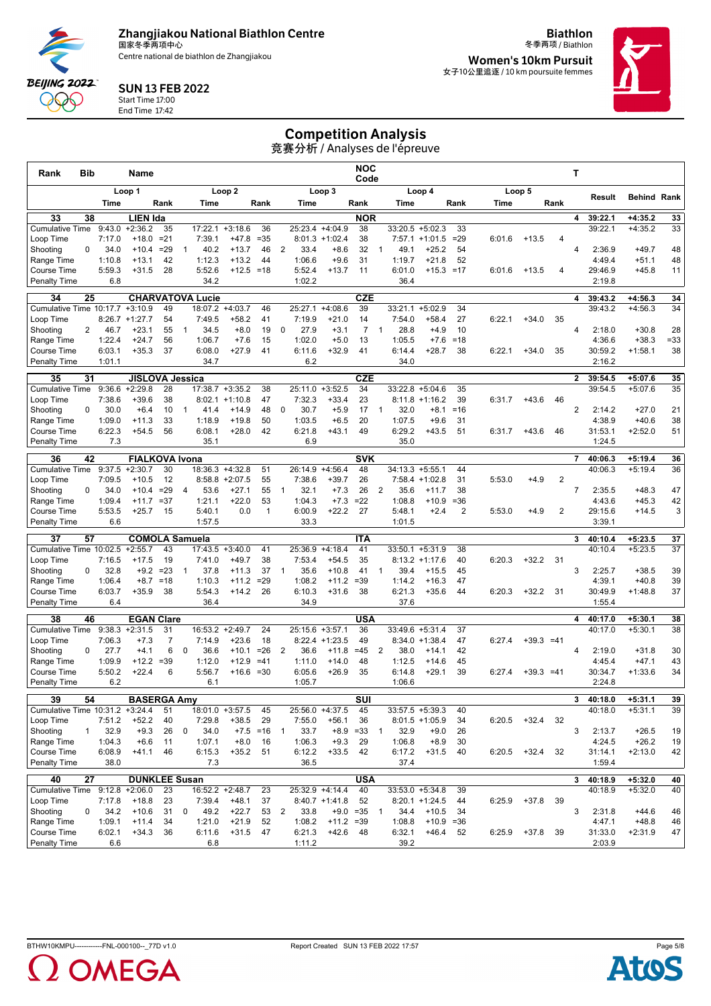Centre national de biathlon de Zhangjiakou

**Biathlon** 冬季两项 / Biathlon

**Women's 10km Pursuit** 女子10公里追逐 / 10 km poursuite femmes



#### SUN 13 FEB 2022 Start Time 17:00

End Time 17:42

**BEIJING 2022** QQQ

# Competition Analysis

| Rank                                 | Bib          |                | Name                               |                 |                |                         |                               |                 |                |                   |                            | NOC<br>Code          |                |                    |                                        |              |        |                   |                | т              |                    |                        |              |
|--------------------------------------|--------------|----------------|------------------------------------|-----------------|----------------|-------------------------|-------------------------------|-----------------|----------------|-------------------|----------------------------|----------------------|----------------|--------------------|----------------------------------------|--------------|--------|-------------------|----------------|----------------|--------------------|------------------------|--------------|
|                                      |              |                | Loop 1                             |                 |                |                         | Loop <sub>2</sub>             |                 |                |                   | Loop 3                     |                      |                |                    | Loop 4                                 |              |        | Loop 5            |                |                |                    | <b>Behind Rank</b>     |              |
|                                      |              | Time           |                                    | Rank            |                | Time                    |                               | Rank            |                | Time              |                            | Rank                 |                | Time               |                                        | Rank         | Time   |                   | Rank           |                | Result             |                        |              |
| 33                                   | 38           |                | <b>LIEN Ida</b>                    |                 |                |                         |                               |                 |                |                   |                            | <b>NOR</b>           |                |                    |                                        |              |        |                   |                | 4              | 39:22.1            | $+4:35.2$              | 33           |
| <b>Cumulative Time</b>               |              | 9:43.0         | $+2:36.2$                          | 35              |                | 17:22.1                 | $+3:18.6$                     | 36              |                | 25:23.4           | $+4:04.9$                  | 38                   |                |                    | $33:20.5 + 5:02.3$                     | 33           |        |                   |                |                | 39:22.1            | $+4:35.2$              | 33           |
| Loop Time<br>Shooting                | 0            | 7:17.0<br>34.0 | $+18.0$<br>$+10.4$                 | $= 21$<br>$=29$ | 1              | 7:39.1<br>40.2          | +47.8<br>$+13.7$              | $= 35$<br>46    | 2              | 33.4              | $8:01.3 +1:02.4$<br>$+8.6$ | 38<br>32             | $\mathbf{1}$   | 49.1               | $7:57.1 + 1:01.5$<br>$+25.2$           | $= 29$<br>54 | 6:01.6 | $+13.5$           | 4              | 4              | 2:36.9             | $+49.7$                | 48           |
| Range Time                           |              | 1:10.8         | $+13.1$                            | 42              |                | 1:12.3                  | $+13.2$                       | 44              |                | 1:06.6            | $+9.6$                     | 31                   |                | 1:19.7             | $+21.8$                                | 52           |        |                   |                |                | 4:49.4             | $+51.1$                | 48           |
| Course Time                          |              | 5:59.3         | $+31.5$                            | 28              |                | 5:52.6                  | $+12.5 = 18$                  |                 |                | 5:52.4            | $+13.7$                    | 11                   |                | 6:01.0             | $+15.3 = 17$                           |              | 6:01.6 | $+13.5$           | 4              |                | 29:46.9            | $+45.8$                | 11           |
| <b>Penalty Time</b>                  |              | 6.8            |                                    |                 |                | 34.2                    |                               |                 |                | 1:02.2            |                            |                      |                | 36.4               |                                        |              |        |                   |                |                | 2:19.8             |                        |              |
| 34                                   | 25           |                |                                    |                 |                | <b>CHARVATOVA Lucie</b> |                               |                 |                |                   |                            | <b>CZE</b>           |                |                    |                                        |              |        |                   |                | 4              | 39:43.2            | $+4:56.3$              | 34           |
| Cumulative Time 10:17.7              |              |                | $+3:10.9$                          | 49              |                | 18:07.2                 | $+4:03.7$                     | 46              |                | 25:27.1           | $+4:08.6$                  | 39                   |                | 33:21.1            | $+5:02.9$                              | 34           |        |                   |                |                | 39:43.2            | $+4:56.3$              | 34           |
| Loop Time                            |              |                | $8:26.7$ +1:27.7                   | 54              |                | 7:49.5                  | $+58.2$                       | 41              |                | 7:19.9            | $+21.0$                    | 14                   |                | 7:54.0             | $+58.4$                                | 27           | 6:22.1 | $+34.0$           | 35             |                |                    |                        |              |
| Shooting<br>Range Time               | 2            | 46.7<br>1:22.4 | $+23.1$<br>$+24.7$                 | 55<br>56        | $\mathbf{1}$   | 34.5<br>1:06.7          | $+8.0$<br>$+7.6$              | 19<br>15        | $\mathbf 0$    | 27.9<br>1:02.0    | $+3.1$<br>$+5.0$           | $\overline{7}$<br>13 | $\mathbf{1}$   | 28.8<br>1:05.5     | $+4.9$<br>$+7.6$                       | 10<br>$=18$  |        |                   |                | 4              | 2:18.0<br>4:36.6   | $+30.8$<br>$+38.3$     | 28<br>$= 33$ |
| Course Time                          |              | 6:03.1         | $+35.3$                            | 37              |                | 6:08.0                  | $+27.9$                       | 41              |                | 6:11.6            | $+32.9$                    | 41                   |                | 6:14.4             | $+28.7$                                | 38           | 6:22.1 | $+34.0$           | 35             |                | 30:59.2            | $+1:58.1$              | 38           |
| <b>Penalty Time</b>                  |              | 1:01.1         |                                    |                 |                | 34.7                    |                               |                 |                | 6.2               |                            |                      |                | 34.0               |                                        |              |        |                   |                |                | 2:16.2             |                        |              |
| 35                                   | 31           |                | <b>JISLOVA Jessica</b>             |                 |                |                         |                               |                 |                |                   |                            | <b>CZE</b>           |                |                    |                                        |              |        |                   |                | $\overline{2}$ | 39:54.5            | $+5:07.6$              | 35           |
| <b>Cumulative Time</b>               |              | 9:36.6         | $+2:29.8$                          | 28              |                |                         | 17:38.7 +3:35.2               | 38              |                | 25:11.0           | $+3:52.5$                  | 34                   |                |                    | $33:22.8 + 5:04.6$                     | 35           |        |                   |                |                | 39:54.5            | $+5:07.6$              | 35           |
| Loop Time                            |              | 7:38.6         | $+39.6$                            | 38              |                |                         | $8:02.1 +1:10.8$              | 47              |                | 7:32.3            | $+33.4$                    | 23                   |                |                    | $8:11.8 +1:16.2$                       | 39           | 6:31.7 | $+43.6$           | 46             |                |                    |                        |              |
| Shooting                             | 0            | 30.0           | $+6.4$                             | 10              | $\mathbf{1}$   | 41.4                    | $+14.9$                       | 48              | 0              | 30.7              | $+5.9$                     | 17                   | $\mathbf{1}$   | 32.0               | $+8.1$                                 | $=16$        |        |                   |                | 2              | 2:14.2             | $+27.0$                | 21           |
| Range Time                           |              | 1:09.0         | $+11.3$                            | 33              |                | 1:18.9                  | $+19.8$                       | 50              |                | 1:03.5            | $+6.5$                     | 20                   |                | 1:07.5             | $+9.6$                                 | 31           |        |                   |                |                | 4:38.9             | $+40.6$                | 38           |
| Course Time<br>Penalty Time          |              | 6:22.3<br>7.3  | $+54.5$                            | 56              |                | 6:08.1<br>35.1          | $+28.0$                       | 42              |                | 6:21.8<br>6.9     | $+43.1$                    | 49                   |                | 6:29.2<br>35.0     | $+43.5$                                | 51           | 6:31.7 | $+43.6$           | 46             |                | 31:53.1<br>1:24.5  | $+2:52.0$              | 51           |
|                                      |              |                |                                    |                 |                |                         |                               |                 |                |                   |                            |                      |                |                    |                                        |              |        |                   |                |                |                    |                        |              |
| 36<br><b>Cumulative Time</b>         | 42           | 9:37.5         | <b>FIALKOVA Ivona</b><br>$+2:30.7$ | 30              |                |                         | 18:36.3 +4:32.8               | 51              |                | 26:14.9           | $+4:56.4$                  | <b>SVK</b><br>48     |                | $34:13.3 + 5:55.1$ |                                        | 44           |        |                   |                | $\overline{7}$ | 40:06.3<br>40:06.3 | $+5:19.4$<br>$+5:19.4$ | 36<br>36     |
| Loop Time                            |              | 7:09.5         | $+10.5$                            | 12              |                |                         | $8:58.8 + 2:07.5$             | 55              |                | 7:38.6            | $+39.7$                    | 26                   |                |                    | $7:58.4 +1:02.8$                       | 31           | 5:53.0 | $+4.9$            | $\overline{2}$ |                |                    |                        |              |
| Shooting                             | 0            | 34.0           | $+10.4$                            | $=29$           | $\overline{4}$ | 53.6                    | $+27.1$                       | 55              | $\overline{1}$ | 32.1              | $+7.3$                     | 26                   | 2              | 35.6               | $+11.7$                                | 38           |        |                   |                | $\overline{7}$ | 2:35.5             | $+48.3$                | 47           |
| Range Time                           |              | 1:09.4         | $+11.7$                            | $= 37$          |                | 1:21.1                  | $+22.0$                       | 53              |                | 1:04.3            | $+7.3$                     | $=22$                |                | 1:08.8             | $+10.9$                                | $= 36$       |        |                   |                |                | 4:43.6             | $+45.3$                | 42           |
| Course Time                          |              | 5:53.5         | $+25.7$                            | 15              |                | 5:40.1                  | 0.0                           | $\mathbf{1}$    |                | 6:00.9            | $+22.2$                    | 27                   |                | 5:48.1             | $+2.4$                                 | 2            | 5:53.0 | $+4.9$            | 2              |                | 29:15.6            | $+14.5$                | 3            |
| <b>Penalty Time</b>                  |              | 6.6            |                                    |                 |                | 1:57.5                  |                               |                 |                | 33.3              |                            |                      |                | 1:01.5             |                                        |              |        |                   |                |                | 3:39.1             |                        |              |
| 37                                   | 57           |                | <b>COMOLA Samuela</b>              |                 |                |                         |                               |                 |                |                   |                            | <b>ITA</b>           |                |                    |                                        |              |        |                   |                | 3              | 40:10.4            | $+5:23.5$              | 37           |
| Cumulative Time 10:02.5<br>Loop Time |              | 7:16.5         | $+2:55.7$<br>$+17.5$               | 43<br>19        |                | 7:41.0                  | $17:43.5 + 3:40.0$<br>$+49.7$ | 41<br>38        |                | 25:36.9<br>7:53.4 | $+4:18.4$<br>$+54.5$       | 41<br>35             |                |                    | $33:50.1 + 5:31.9$<br>$8:13.2 +1:17.6$ | 38<br>40     | 6:20.3 | $+32.2$           | -31            |                | 40:10.4            | $+5:23.5$              | 37           |
| Shooting                             | 0            | 32.8           | $+9.2 = 23$                        |                 | $\mathbf{1}$   | 37.8                    | $+11.3$                       | 37              | $\overline{1}$ | 35.6              | $+10.8$                    | 41                   | $\overline{1}$ | 39.4               | $+15.5$                                | 45           |        |                   |                | 3              | 2:25.7             | $+38.5$                | 39           |
| Range Time                           |              | 1:06.4         | $+8.7$                             | $=18$           |                | 1:10.3                  | $+11.2$                       | $= 29$          |                | 1:08.2            | $+11.2$                    | $= 39$               |                | 1:14.2             | $+16.3$                                | 47           |        |                   |                |                | 4:39.1             | $+40.8$                | 39           |
| Course Time                          |              | 6:03.7         | $+35.9$                            | 38              |                | 5:54.3                  | $+14.2$                       | 26              |                | 6:10.3            | $+31.6$                    | 38                   |                | 6:21.3             | $+35.6$                                | 44           | 6:20.3 | $+32.2$           | -31            |                | 30:49.9            | $+1:48.8$              | 37           |
| <b>Penalty Time</b>                  |              | 6.4            |                                    |                 |                | 36.4                    |                               |                 |                | 34.9              |                            |                      |                | 37.6               |                                        |              |        |                   |                |                | 1:55.4             |                        |              |
| 38                                   | 46           |                | <b>EGAN Clare</b>                  |                 |                |                         |                               |                 |                |                   |                            | <b>USA</b>           |                |                    |                                        |              |        |                   |                | 4              | 40:17.0            | $+5:30.1$              | 38           |
| <b>Cumulative Time</b>               |              | 9:38.3         | $+2:31.5$                          | 31              |                | 16:53.2                 | $+2:49.7$                     | 24              |                | 25:15.6           | $+3:57.1$                  | 36                   |                | 33:49.6            | $+5:31.4$                              | 37           |        |                   |                |                | 40:17.0            | $+5:30.1$              | 38           |
| Loop Time                            |              | 7:06.3         | $+7.3$                             | 7               |                | 7:14.9                  | $+23.6$                       | 18              |                |                   | $8:22.4$ +1:23.5           | 49                   |                |                    | $8:34.0 +1:38.4$                       | 47           | 6:27.4 | $+39.3 = 41$      |                |                |                    |                        |              |
| Shooting<br>Range Time               | 0            | 27.7<br>1:09.9 | $+4.1$<br>$+12.2$                  | 6<br>$= 39$     | 0              | 36.6<br>1:12.0          | $+10.1$<br>$+12.9$            | $= 26$<br>$=41$ | 2              | 36.6<br>1:11.0    | $+11.8$<br>$+14.0$         | $=45$<br>48          | 2              | 38.0<br>1:12.5     | $+14.1$<br>$+14.6$                     | 42<br>45     |        |                   |                | 4              | 2:19.0<br>4:45.4   | $+31.8$<br>$+47.1$     | 30<br>43     |
| Course Time                          |              | 5:50.2         | $+22.4$                            | 6               |                | 5:56.7                  | $+16.6 = 30$                  |                 |                | 6:05.6            | $+26.9$                    | 35                   |                | 6:14.8             | $+29.1$                                | 39           | 6:27.4 | $+39.3 = 41$      |                |                | 30:34.7            | $+1:33.6$              | 34           |
| <b>Penalty Time</b>                  |              | 6.2            |                                    |                 |                | 6.1                     |                               |                 |                | 1:05.7            |                            |                      |                | 1:06.6             |                                        |              |        |                   |                |                | 2:24.8             |                        |              |
| 39                                   | 54           |                | <b>BASERGA Amv</b>                 |                 |                |                         |                               |                 |                |                   |                            | SUI                  |                |                    |                                        |              |        |                   |                | 3              | 40:18.0            | $+5:31.1$              | 39           |
| Cumulative Time 10:31.2 +3:24.4      |              |                |                                    | 51              |                |                         | 18:01.0 +3:57.5               | 45              |                |                   | 25:56.0 +4:37.5            | 45                   |                |                    | $33:57.5 + 5:39.3$                     | 40           |        |                   |                |                | 40:18.0            | $+5:31.1$              | 39           |
| Loop Time                            |              | 7:51.2         | $+52.2$                            | 40              |                | 7:29.8                  | $+38.5$                       | 29              |                | 7:55.0            | $+56.1$                    | 36                   |                |                    | $8:01.5 +1:05.9$                       | 34           |        | $6:20.5$ +32.4 32 |                |                |                    |                        |              |
| Shooting                             | $\mathbf{1}$ | 32.9           | $+9.3$                             | 26              | 0              | 34.0                    |                               | $+7.5 = 16$     | $\overline{1}$ | 33.7              | $+8.9$                     | $= 33$               | $\mathbf{1}$   | 32.9               | $+9.0$                                 | 26           |        |                   |                | 3              | 2:13.7             | $+26.5$                | 19           |
| Range Time                           |              | 1:04.3         | $+6.6$                             | 11              |                | 1:07.1                  | $+8.0$                        | 16              |                | 1:06.3            | $+9.3$                     | 29                   |                | 1:06.8             | $+8.9$                                 | 30           |        |                   |                |                | 4:24.5             | $+26.2$                | 19           |
| Course Time<br><b>Penalty Time</b>   |              | 6:08.9<br>38.0 | $+41.1$                            | 46              |                | 6:15.3<br>7.3           | $+35.2$                       | 51              |                | 6:12.2<br>36.5    | $+33.5$                    | 42                   |                | 6:17.2<br>37.4     | $+31.5$                                | 40           | 6:20.5 | $+32.4$           | 32             |                | 31:14.1<br>1:59.4  | $+2:13.0$              | 42           |
|                                      |              |                |                                    |                 |                |                         |                               |                 |                |                   |                            |                      |                |                    |                                        |              |        |                   |                |                |                    |                        |              |
| 40<br>Cumulative Time 9:12.8 +2:06.0 | 27           |                | <b>DUNKLEE Susan</b>               | 23              |                | 16:52.2 +2:48.7         |                               | 23              |                |                   | 25:32.9 +4:14.4            | <b>USA</b><br>40     |                |                    | $33:53.0 + 5:34.8$                     | 39           |        |                   |                | 3              | 40:18.9<br>40:18.9 | $+5:32.0$<br>$+5:32.0$ | 40<br>40     |
| Loop Time                            |              | 7:17.8         | $+18.8$                            | 23              |                | 7:39.4                  | $+48.1$                       | 37              |                |                   | $8:40.7 +1:41.8$           | 52                   |                |                    | $8:20.1 + 1:24.5$                      | 44           | 6:25.9 | $+37.8$           | 39             |                |                    |                        |              |
| Shooting                             | 0            | 34.2           | $+10.6$                            | 31              | $\mathbf 0$    | 49.2                    | $+22.7$                       | 53              | $\overline{2}$ | 33.8              | $+9.0 = 35$                |                      | $\overline{1}$ | 34.4               | $+10.5$                                | 34           |        |                   |                | 3              | 2:31.8             | $+44.6$                | 46           |
| Range Time                           |              | 1:09.1         | $+11.4$                            | 34              |                | 1:21.0                  | $+21.9$                       | 52              |                | 1:08.2            | $+11.2 = 39$               |                      |                | 1:08.8             | $+10.9 = 36$                           |              |        |                   |                |                | 4:47.1             | $+48.8$                | 46           |
| Course Time<br>Penalty Time          |              | 6:02.1         | $+34.3$                            | 36              |                | 6:11.6<br>6.8           | $+31.5$                       | 47              |                | 6:21.3            | $+42.6$                    | 48                   |                | 6:32.1             | $+46.4$                                | 52           | 6:25.9 | $+37.8$           | 39             |                | 31:33.0            | $+2:31.9$              | 47           |
|                                      |              | 6.6            |                                    |                 |                |                         |                               |                 |                | 1:11.2            |                            |                      |                | 39.2               |                                        |              |        |                   |                |                | 2:03.9             |                        |              |



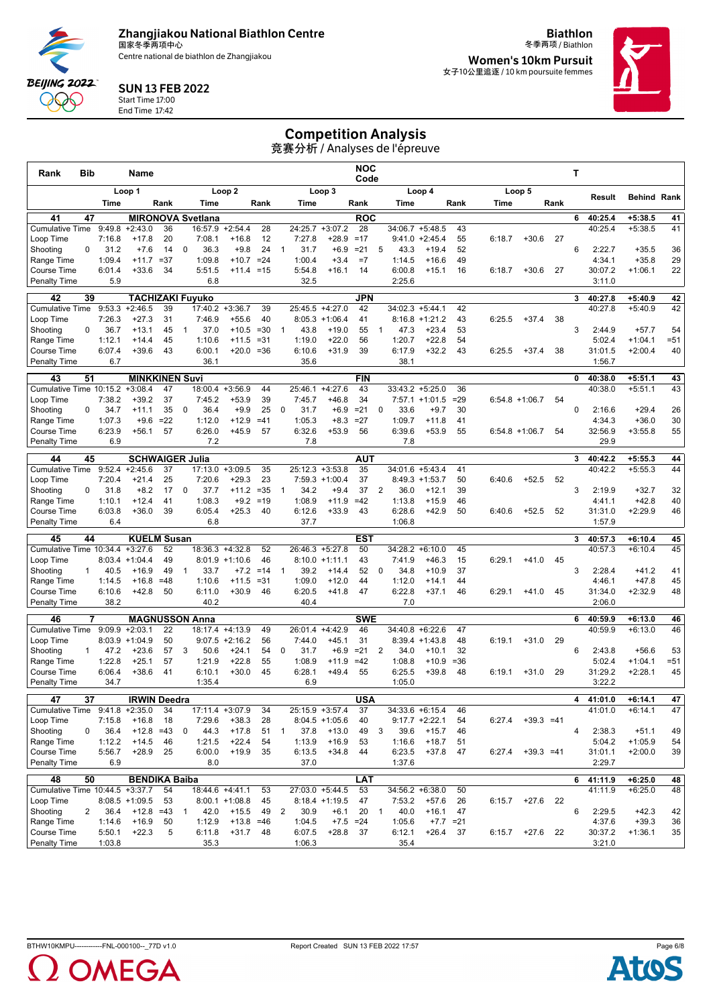Centre national de biathlon de Zhangjiakou

**Biathlon** 冬季两项 / Biathlon

**Women's 10km Pursuit** 女子10公里追逐 / 10 km poursuite femmes



#### SUN 13 FEB 2022 Start Time 17:00

End Time 17:42

**BEIJING 2022** QQQ

### Competition Analysis

| Rank                                      | Bib            |                | Name                                 |              |              |                          |                              |             |                |                  |                   | NOC<br>Code      |                |                  |                             |              |        |                  |      | Т |                    |                        |          |
|-------------------------------------------|----------------|----------------|--------------------------------------|--------------|--------------|--------------------------|------------------------------|-------------|----------------|------------------|-------------------|------------------|----------------|------------------|-----------------------------|--------------|--------|------------------|------|---|--------------------|------------------------|----------|
|                                           |                |                | Loop 1                               |              |              |                          | Loop <sub>2</sub>            |             |                |                  | Loop 3            |                  |                |                  | Loop 4                      |              |        | Loop 5           |      |   |                    |                        |          |
|                                           |                | Time           |                                      | Rank         |              | Time                     |                              | Rank        |                | Time             |                   | Rank             |                | Time             |                             | Rank         | Time   |                  | Rank |   | Result             | <b>Behind Rank</b>     |          |
| 41                                        | 47             |                |                                      |              |              | <b>MIRONOVA Svetlana</b> |                              |             |                |                  |                   | <b>ROC</b>       |                |                  |                             |              |        |                  |      | 6 | 40:25.4            | $+5:38.5$              | 41       |
| <b>Cumulative Time</b>                    |                | 9:49.8         | $+2:43.0$                            | 36           |              | 16:57.9                  | $+2:54.4$                    | 28          |                | 24:25.7          | $+3:07.2$         | 28               |                |                  | $34:06.7 + 5:48.5$          | 43           |        |                  |      |   | 40:25.4            | $+5:38.5$              | 41       |
| Loop Time                                 |                | 7:16.8         | $+17.8$                              | 20           |              | 7:08.1                   | $+16.8$                      | 12          |                | 7:27.8           | $+28.9$           | $=17$            |                |                  | $9:41.0 +2:45.4$            | 55           | 6:18.7 | $+30.6$          | 27   |   |                    |                        |          |
| Shooting                                  | 0              | 31.2           | $+7.6$                               | 14           | 0            | 36.3                     | $+9.8$                       | 24          | $\mathbf{1}$   | 31.7             | $+6.9$            | $= 21$           | 5              | 43.3             | $+19.4$                     | 52           |        |                  |      | 6 | 2:22.7             | $+35.5$                | 36       |
| Range Time                                |                | 1:09.4         | $+11.7$<br>$+33.6$                   | $= 37$<br>34 |              | 1:09.8<br>5:51.5         | $+10.7 = 24$<br>$+11.4 = 15$ |             |                | 1:00.4<br>5:54.8 | $+3.4$<br>$+16.1$ | $=7$<br>14       |                | 1:14.5<br>6:00.8 | $+16.6$                     | 49<br>16     | 6:18.7 | $+30.6$          | 27   |   | 4:34.1<br>30:07.2  | $+35.8$<br>$+1:06.1$   | 29<br>22 |
| <b>Course Time</b><br><b>Penalty Time</b> |                | 6:01.4<br>5.9  |                                      |              |              | 6.8                      |                              |             |                | 32.5             |                   |                  |                | 2:25.6           | $+15.1$                     |              |        |                  |      |   | 3:11.0             |                        |          |
|                                           | 39             |                |                                      |              |              |                          |                              |             |                |                  |                   | JPN              |                |                  |                             |              |        |                  |      | 3 |                    |                        |          |
| 42<br><b>Cumulative Time</b>              |                | 9:53.3         | <b>TACHIZAKI Fuyuko</b><br>$+2:46.5$ | 39           |              | 17:40.2                  | $+3:36.7$                    | 39          |                | 25:45.5          | $+4:27.0$         | 42               |                |                  | $34:02.3 +5:44.1$           | 42           |        |                  |      |   | 40:27.8<br>40:27.8 | $+5:40.9$<br>$+5:40.9$ | 42<br>42 |
| Loop Time                                 |                | 7:26.3         | $+27.3$                              | 31           |              | 7:46.9                   | $+55.6$                      | 40          |                |                  | $8:05.3 +1:06.4$  | 41               |                |                  | $8:16.8 + 1:21.2$           | 43           | 6:25.5 | $+37.4$          | 38   |   |                    |                        |          |
| Shooting                                  | 0              | 36.7           | $+13.1$                              | 45           | 1            | 37.0                     | $+10.5$                      | $=30$       | $\overline{1}$ | 43.8             | $+19.0$           | 55               | $\mathbf{1}$   | 47.3             | $+23.4$                     | 53           |        |                  |      | 3 | 2:44.9             | $+57.7$                | 54       |
| Range Time                                |                | 1:12.1         | $+14.4$                              | 45           |              | 1:10.6                   | $+11.5$                      | $= 31$      |                | 1:19.0           | $+22.0$           | 56               |                | 1:20.7           | $+22.8$                     | 54           |        |                  |      |   | 5:02.4             | $+1:04.1$              | $= 51$   |
| Course Time                               |                | 6:07.4         | $+39.6$                              | 43           |              | 6:00.1                   | $+20.0 = 36$                 |             |                | 6:10.6           | $+31.9$           | 39               |                | 6:17.9           | $+32.2$                     | 43           | 6:25.5 | $+37.4$          | 38   |   | 31:01.5            | $+2:00.4$              | 40       |
| <b>Penalty Time</b>                       |                | 6.7            |                                      |              |              | 36.1                     |                              |             |                | 35.6             |                   |                  |                | 38.1             |                             |              |        |                  |      |   | 1:56.7             |                        |          |
| 43                                        | 51             |                | <b>MINKKINEN Suvi</b>                |              |              |                          |                              |             |                |                  |                   | <b>FIN</b>       |                |                  |                             |              |        |                  |      | 0 | 40:38.0            | $+5:51.1$              | 43       |
| Cumulative Time 10:15.2                   |                |                | $+3:08.4$                            | 47           |              |                          | 18:00.4 +3:56.9              | 44          |                | 25:46.1          | $+4:27.6$         | 43               |                |                  | $33:43.2 + 5:25.0$          | 36           |        |                  |      |   | 40:38.0            | $+5:51.1$              | 43       |
| Loop Time<br>Shooting                     | 0              | 7:38.2<br>34.7 | $+39.2$<br>$+11.1$                   | 37<br>35     | $\mathbf 0$  | 7:45.2<br>36.4           | $+53.9$<br>$+9.9$            | 39<br>25    | $\mathbf 0$    | 7:45.7<br>31.7   | $+46.8$<br>$+6.9$ | 34<br>$= 21$     | 0              | 7:57.1<br>33.6   | $+1:01.5$<br>$+9.7$         | $= 29$<br>30 |        | $6:54.8 +1:06.7$ | 54   | 0 | 2:16.6             | $+29.4$                | 26       |
| Range Time                                |                | 1:07.3         | $+9.6$                               | $=22$        |              | 1:12.0                   | $+12.9$                      | $=41$       |                | 1:05.3           | $+8.3$            | $=27$            |                | 1:09.7           | $+11.8$                     | 41           |        |                  |      |   | 4:34.3             | $+36.0$                | 30       |
| Course Time                               |                | 6:23.9         | $+56.1$                              | 57           |              | 6:26.0                   | $+45.9$                      | 57          |                | 6:32.6           | $+53.9$           | 56               |                | 6:39.6           | $+53.9$                     | 55           |        | $6:54.8$ +1:06.7 | 54   |   | 32:56.9            | $+3:55.8$              | 55       |
| <b>Penalty Time</b>                       |                | 6.9            |                                      |              |              | 7.2                      |                              |             |                | 7.8              |                   |                  |                | 7.8              |                             |              |        |                  |      |   | 29.9               |                        |          |
| 44                                        | 45             |                | <b>SCHWAIGER Julia</b>               |              |              |                          |                              |             |                |                  |                   | AUT              |                |                  |                             |              |        |                  |      | 3 | 40:42.2            | $+5:55.3$              | 44       |
| <b>Cumulative Time</b>                    |                | 9:52.4         | $+2:45.6$                            | 37           |              | 17:13.0                  | $+3:09.5$                    | 35          |                | 25:12.3          | $+3:53.8$         | 35               |                |                  | 34:01.6 +5:43.4             | 41           |        |                  |      |   | 40:42.2            | $+5:55.3$              | 44       |
| Loop Time                                 |                | 7:20.4         | $+21.4$                              | 25           |              | 7:20.6                   | $+29.3$                      | 23          |                | 7:59.3           | $+1:00.4$         | 37               |                |                  | $8:49.3 +1:53.7$            | 50           | 6:40.6 | $+52.5$          | 52   |   |                    |                        |          |
| Shooting                                  | 0              | 31.8           | $+8.2$                               | 17           | $\mathbf 0$  | 37.7                     | $+11.2$                      | $= 35$      | $\overline{1}$ | 34.2             | $+9.4$            | 37               | 2              | 36.0             | $+12.1$                     | 39           |        |                  |      | 3 | 2:19.9             | $+32.7$                | 32       |
| Range Time                                |                | 1:10.1         | $+12.4$                              | 41           |              | 1:08.3                   | $+9.2$                       | $=19$       |                | 1:08.9           | $+11.9$           | $=42$            |                | 1:13.8           | $+15.9$                     | 46           |        |                  |      |   | 4:41.1             | $+42.8$                | 40       |
| Course Time<br><b>Penalty Time</b>        |                | 6:03.8<br>6.4  | $+36.0$                              | 39           |              | 6:05.4<br>6.8            | $+25.3$                      | 40          |                | 6:12.6<br>37.7   | $+33.9$           | 43               |                | 6:28.6<br>1:06.8 | $+42.9$                     | 50           | 6:40.6 | $+52.5$          | 52   |   | 31:31.0<br>1:57.9  | $+2:29.9$              | 46       |
|                                           |                |                |                                      |              |              |                          |                              |             |                |                  |                   |                  |                |                  |                             |              |        |                  |      |   |                    |                        |          |
| 45<br>Cumulative Time 10:34.4 +3:27.6     | 44             |                | <b>KUELM Susan</b>                   | 52           |              | 18:36.3 +4:32.8          |                              | 52          |                |                  | 26:46.3 +5:27.8   | <b>EST</b><br>50 |                |                  | $34:28.2 + 6:10.0$          | 45           |        |                  |      | 3 | 40:57.3<br>40:57.3 | $+6:10.4$<br>$+6:10.4$ | 45<br>45 |
| Loop Time                                 |                | 8:03.4         | $+1:04.4$                            | 49           |              | 8:01.9                   | $+1:10.6$                    | 46          |                |                  | $8:10.0 +1:11.1$  | 43               |                | 7:41.9           | $+46.3$                     | 15           | 6:29.1 | $+41.0$          | 45   |   |                    |                        |          |
| Shooting                                  | $\mathbf{1}$   | 40.5           | $+16.9$                              | 49           | $\mathbf{1}$ | 33.7                     |                              | $+7.2 = 14$ | $\mathbf{1}$   | 39.2             | $+14.4$           | 52               | $\mathbf{0}$   | 34.8             | $+10.9$                     | 37           |        |                  |      | 3 | 2:28.4             | $+41.2$                | 41       |
| Range Time                                |                | 1:14.5         | $+16.8$                              | $=48$        |              | 1:10.6                   | $+11.5$                      | $= 31$      |                | 1:09.0           | $+12.0$           | 44               |                | 1:12.0           | $+14.1$                     | 44           |        |                  |      |   | 4:46.1             | $+47.8$                | 45       |
| Course Time                               |                | 6:10.6         | $+42.8$                              | 50           |              | 6:11.0                   | $+30.9$                      | 46          |                | 6:20.5           | $+41.8$           | 47               |                | 6:22.8           | $+37.1$                     | 46           | 6:29.1 | $+41.0$          | 45   |   | 31:34.0            | $+2:32.9$              | 48       |
| <b>Penalty Time</b>                       |                | 38.2           |                                      |              |              | 40.2                     |                              |             |                | 40.4             |                   |                  |                | 7.0              |                             |              |        |                  |      |   | 2:06.0             |                        |          |
| 46                                        | 7              |                | <b>MAGNUSSON Anna</b>                |              |              |                          |                              |             |                |                  |                   | <b>SWE</b>       |                |                  |                             |              |        |                  |      | 6 | 40:59.9            | $+6:13.0$              | 46       |
| <b>Cumulative Time</b>                    |                | 9:09.9         | $+2:03.1$                            | 22           |              | 18:17.4 +4:13.9          |                              | 49          |                | 26:01.4          | $+4:42.9$         | 46               |                |                  | $34:40.8 + 6:22.6$          | 47           |        |                  |      |   | 40:59.9            | $+6:13.0$              | 46       |
| Loop Time<br>Shooting                     | $\mathbf{1}$   | 47.2           | $8:03.9 +1:04.9$<br>$+23.6$          | 50<br>57     | 3            | 50.6                     | $9:07.5 +2:16.2$<br>$+24.1$  | 56<br>54    | $\mathbf 0$    | 7:44.0<br>31.7   | $+45.1$<br>$+6.9$ | 31<br>$= 21$     | 2              | 34.0             | $8:39.4 +1:43.8$<br>$+10.1$ | 48<br>32     | 6:19.1 | $+31.0$          | 29   | 6 | 2:43.8             | $+56.6$                | 53       |
| Range Time                                |                | 1:22.8         | $+25.1$                              | 57           |              | 1:21.9                   | $+22.8$                      | 55          |                | 1:08.9           | $+11.9$           | $=42$            |                | 1:08.8           | $+10.9$                     | $= 36$       |        |                  |      |   | 5:02.4             | $+1:04.1$              | $= 51$   |
| <b>Course Time</b>                        |                | 6:06.4         | $+38.6$                              | 41           |              | 6:10.1                   | $+30.0$                      | 45          |                | 6:28.1           | $+49.4$           | 55               |                | 6:25.5           | $+39.8$                     | 48           | 6:19.1 | $+31.0$          | 29   |   | 31:29.2            | $+2:28.1$              | 45       |
| <b>Penalty Time</b>                       |                | 34.7           |                                      |              |              | 1:35.4                   |                              |             |                | 6.9              |                   |                  |                | 1:05.0           |                             |              |        |                  |      |   | 3:22.2             |                        |          |
| 47                                        | 37             |                | <b>IRWIN Deedra</b>                  |              |              |                          |                              |             |                |                  |                   | <b>USA</b>       |                |                  |                             |              |        |                  |      | 4 | 41:01.0            | $+6:14.1$              | 47       |
| Cumulative Time 9:41.8 +2:35.0            |                |                |                                      | 34           |              |                          | 17:11.4 +3:07.9              | 34          |                |                  | 25:15.9 +3:57.4   | 37               |                |                  | 34:33.6 +6:15.4             | 46           |        |                  |      |   | 41:01.0            | $+6:14.1$              | 47       |
| Loop Time                                 |                | 7:15.8         | $+16.8$                              | 18           |              | 7:29.6                   | $+38.3$                      | 28          |                |                  | $8:04.5 +1:05.6$  | 40               |                |                  | $9:17.7 + 2:22.1$           | 54           | 6:27.4 | $+39.3 = 41$     |      |   |                    |                        |          |
| Shooting                                  | 0              | 36.4           | $+12.8$                              | $=43$        | 0            | 44.3                     | $+17.8$                      | 51          | $\overline{1}$ | 37.8             | $+13.0$           | 49               | 3              | 39.6             | $+15.7$                     | 46           |        |                  |      | 4 | 2:38.3             | $+51.1$                | 49       |
| Range Time                                |                | 1:12.2         | $+14.5$                              | 46           |              | 1:21.5                   | $+22.4$                      | 54          |                | 1:13.9           | $+16.9$           | 53               |                | 1:16.6           | $+18.7$                     | 51           |        |                  |      |   | 5:04.2             | $+1:05.9$              | 54       |
| Course Time<br><b>Penalty Time</b>        |                | 5:56.7<br>6.9  | $+28.9$                              | 25           |              | 6:00.0<br>8.0            | $+19.9$                      | 35          |                | 6:13.5<br>37.0   | $+34.8$           | 44               |                | 6:23.5<br>1:37.6 | $+37.8$                     | 47           | 6:27.4 | $+39.3 = 41$     |      |   | 31:01.1<br>2:29.7  | $+2:00.0$              | 39       |
|                                           |                |                |                                      |              |              |                          |                              |             |                |                  |                   |                  |                |                  |                             |              |        |                  |      |   |                    |                        |          |
| 48<br>Cumulative Time 10:44.5 +3:37.7     | 50             |                | <b>BENDIKA Baiba</b>                 | 54           |              | 18:44.6 +4:41.1          |                              | 53          |                |                  | 27:03.0 +5:44.5   | <b>LAT</b><br>53 |                |                  | $34:56.2 + 6:38.0$          | 50           |        |                  |      | 6 | 41:11.9<br>41:11.9 | $+6:25.0$<br>$+6:25.0$ | 48<br>48 |
| Loop Time                                 |                |                | $8:08.5 +1:09.5$                     | 53           |              |                          | $8:00.1 +1:08.8$             | 45          |                |                  | $8:18.4 +1:19.5$  | 47               |                | 7:53.2           | $+57.6$                     | 26           | 6:15.7 | $+27.6$          | 22   |   |                    |                        |          |
| Shooting                                  | $\overline{2}$ | 36.4           | $+12.8 = 43$                         |              | $\mathbf{1}$ | 42.0                     | $+15.5$                      | 49          | 2              | 30.9             | $+6.1$            | 20               | $\overline{1}$ | 40.0             | $+16.1$                     | 47           |        |                  |      | 6 | 2:29.5             | $+42.3$                | 42       |
| Range Time                                |                | 1:14.6         | $+16.9$                              | 50           |              | 1:12.9                   | $+13.8 = 46$                 |             |                | 1:04.5           | $+7.5 = 24$       |                  |                | 1:05.6           |                             | $+7.7 = 21$  |        |                  |      |   | 4:37.6             | $+39.3$                | 36       |
| Course Time                               |                | 5:50.1         | $+22.3$                              | 5            |              | 6:11.8                   | $+31.7$                      | 48          |                | 6:07.5           | $+28.8$           | 37               |                | 6:12.1           | $+26.4$                     | 37           | 6:15.7 | $+27.6$          | 22   |   | 30:37.2            | $+1:36.1$              | 35       |
| <b>Penalty Time</b>                       |                | 1:03.8         |                                      |              |              | 35.3                     |                              |             |                | 1:06.3           |                   |                  |                | 35.4             |                             |              |        |                  |      |   | 3:21.0             |                        |          |



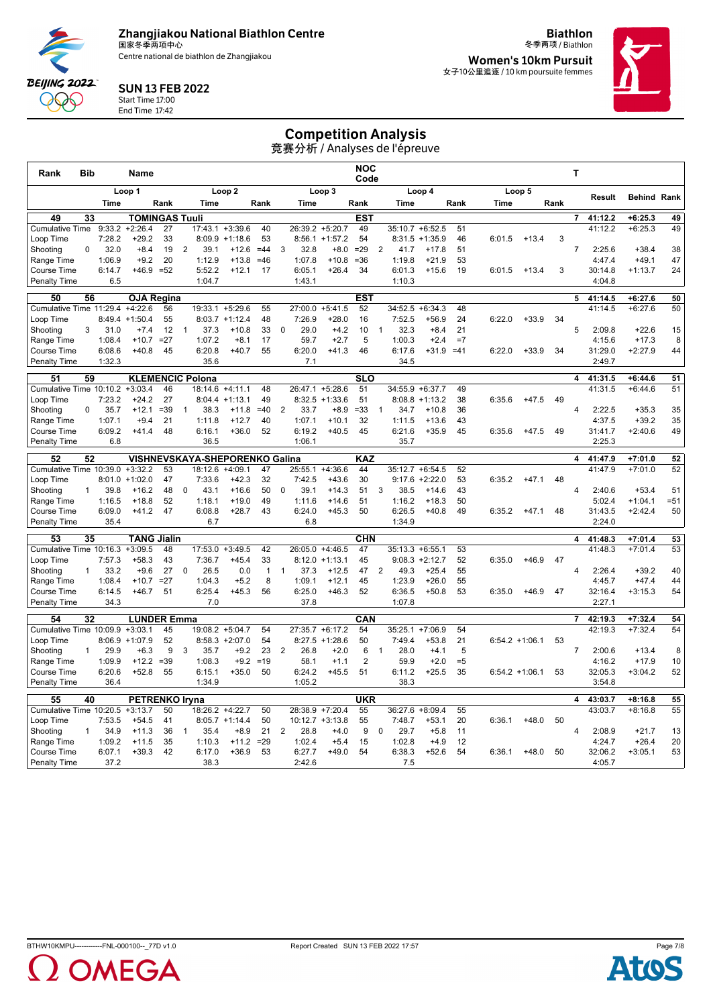Centre national de biathlon de Zhangjiakou

**Biathlon** 冬季两项 / Biathlon **Women's 10km Pursuit** 女子10公里追逐 / 10 km poursuite femmes



### SUN 13 FEB 2022

Start Time 17:00 End Time 17:42

**BEIJING 2022** QQQ

# Competition Analysis

| Rank                                 | <b>Bib</b>      |                  | Name                   |              |                |                                                  |                            |              |                |                  |                               | <b>NOC</b><br>Code            |                |                    |                    |            |        |                  |      | T              |                   |                      |          |
|--------------------------------------|-----------------|------------------|------------------------|--------------|----------------|--------------------------------------------------|----------------------------|--------------|----------------|------------------|-------------------------------|-------------------------------|----------------|--------------------|--------------------|------------|--------|------------------|------|----------------|-------------------|----------------------|----------|
|                                      |                 |                  | Loop 1                 |              |                |                                                  | Loop 2                     |              |                |                  | Loop 3                        |                               |                |                    | Loop 4             |            |        | Loop 5           |      |                | <b>Result</b>     | <b>Behind Rank</b>   |          |
|                                      |                 | Time             |                        | Rank         |                | Time                                             |                            | Rank         |                | Time             |                               | Rank                          |                | Time               |                    | Rank       | Time   |                  | Rank |                |                   |                      |          |
| 49                                   | 33              |                  | <b>TOMINGAS Tuuli</b>  |              |                |                                                  |                            |              |                |                  |                               | <b>EST</b>                    |                |                    |                    |            |        |                  |      | $\overline{7}$ | 41:12.2           | $+6:25.3$            | 49       |
| <b>Cumulative Time</b>               |                 | 9:33.2           | $+2:26.4$              | 27           |                |                                                  | $17:43.1 + 3:39.6$         | 40           |                |                  | 26:39.2 +5:20.7               | 49                            |                |                    | $35:10.7 + 6:52.5$ | 51         |        |                  |      |                | 41:12.2           | $+6:25.3$            | 49       |
| Loop Time                            |                 | 7:28.2           | $+29.2$                | 33           |                | 8:09.9                                           | $+1:18.6$                  | 53           |                |                  | $8:56.1 + 1:57.2$             | 54                            |                |                    | $8:31.5 +1:35.9$   | 46         | 6:01.5 | $+13.4$          | 3    |                |                   |                      |          |
| Shooting                             | $\Omega$        | 32.0             | $+8.4$                 | 19           | 2              | 39.1                                             | $+12.6$                    | $=44$        | 3              | 32.8             | $+8.0$                        | $= 29$                        | 2              | 41.7               | $+17.8$            | 51         |        |                  |      | $\overline{7}$ | 2:25.6            | $+38.4$              | 38       |
| Range Time<br>Course Time            |                 | 1:06.9<br>6:14.7 | $+9.2$<br>$+46.9 = 52$ | 20           |                | 1:12.9<br>5:52.2                                 | $+13.8$<br>$+12.1$         | $=46$<br>17  |                | 1:07.8<br>6:05.1 | $+10.8$<br>$+26.4$            | $=36$<br>34                   |                | 1:19.8<br>6:01.3   | $+21.9$<br>$+15.6$ | 53<br>19   | 6:01.5 | $+13.4$          | 3    |                | 4:47.4<br>30:14.8 | $+49.1$<br>$+1:13.7$ | 47<br>24 |
| Penalty Time                         |                 | 6.5              |                        |              |                | 1:04.7                                           |                            |              |                | 1:43.1           |                               |                               |                | 1:10.3             |                    |            |        |                  |      |                | 4:04.8            |                      |          |
|                                      |                 |                  |                        |              |                |                                                  |                            |              |                |                  |                               |                               |                |                    |                    |            |        |                  |      |                |                   |                      |          |
| 50                                   | 56              |                  | <b>OJA Regina</b>      |              |                |                                                  |                            |              |                |                  |                               | <b>EST</b>                    |                |                    |                    |            |        |                  |      | 5              | 41:14.5           | $+6:27.6$            | 50       |
| Cumulative Time 11:29.4              |                 |                  | $+4:22.6$              | 56           |                |                                                  | 19:33.1 +5:29.6            | 55           |                | 27:00.0          | $+5:41.5$                     | 52                            |                |                    | $34:52.5 + 6:34.3$ | 48         |        |                  |      |                | 41:14.5           | $+6:27.6$            | 50       |
| Loop Time                            |                 |                  | $8:49.4$ +1:50.4       | 55           |                |                                                  | $8:03.7 +1:12.4$           | 48           | $\mathbf 0$    | 7:26.9           | $+28.0$                       | 16                            |                | 7:52.5             | $+56.9$            | 24         | 6:22.0 | $+33.9$          | 34   | 5              |                   |                      |          |
| Shooting<br>Range Time               | 3               | 31.0<br>1:08.4   | $+7.4$<br>$+10.7$      | 12<br>$=27$  | $\overline{1}$ | 37.3<br>1:07.2                                   | $+10.8$<br>$+8.1$          | 33<br>17     |                | 29.0<br>59.7     | $+4.2$<br>$+2.7$              | 10<br>5                       | $\mathbf{1}$   | 32.3<br>1:00.3     | $+8.4$<br>$+2.4$   | 21<br>$=7$ |        |                  |      |                | 2:09.8<br>4:15.6  | $+22.6$<br>$+17.3$   | 15<br>8  |
| Course Time                          |                 | 6:08.6           | $+40.8$                | 45           |                | 6:20.8                                           | $+40.7$                    | 55           |                | 6:20.0           | $+41.3$                       | 46                            |                | 6:17.6             | $+31.9 = 41$       |            | 6:22.0 | $+33.9$          | 34   |                | 31:29.0           | $+2:27.9$            | 44       |
| Penalty Time                         |                 | 1:32.3           |                        |              |                | 35.6                                             |                            |              |                | 7.1              |                               |                               |                | 34.5               |                    |            |        |                  |      |                | 2:49.7            |                      |          |
|                                      |                 |                  |                        |              |                |                                                  |                            |              |                |                  |                               |                               |                |                    |                    |            |        |                  |      |                |                   |                      |          |
| 51                                   | 59              |                  |                        | 46           |                | <b>KLEMENCIC Polona</b>                          | $+4:11.1$                  | 48           |                | 26:47.1          |                               | $\overline{\text{SLO}}$<br>51 |                |                    |                    | 49         |        |                  |      | 4              | 41:31.5           | $+6:44.6$            | 51       |
| Cumulative Time 10:10.2<br>Loop Time |                 | 7:23.2           | $+3:03.4$<br>$+24.2$   | 27           |                | 18:14.6<br>8:04.4                                | $+1:13.1$                  | 49           |                |                  | $+5:28.6$<br>$8:32.5 +1:33.6$ | 51                            |                | 34:55.9 +6:37.7    | $8:08.8 +1:13.2$   | 38         | 6:35.6 | $+47.5$          | 49   |                | 41:31.5           | $+6:44.6$            | 51       |
| Shooting                             | $\Omega$        | 35.7             | $+12.1$                | $= 39$       | $\mathbf{1}$   | 38.3                                             | $+11.8$                    | $=40$        | 2              | 33.7             | $+8.9$                        | $= 33$                        | $\overline{1}$ | 34.7               | $+10.8$            | 36         |        |                  |      | $\overline{4}$ | 2:22.5            | $+35.3$              | 35       |
| Range Time                           |                 | 1:07.1           | $+9.4$                 | 21           |                | 1:11.8                                           | $+12.7$                    | 40           |                | 1:07.1           | $+10.1$                       | 32                            |                | 1:11.5             | $+13.6$            | 43         |        |                  |      |                | 4:37.5            | $+39.2$              | 35       |
| <b>Course Time</b>                   |                 | 6:09.2           | $+41.4$                | 48           |                | 6:16.1                                           | $+36.0$                    | 52           |                | 6:19.2           | $+40.5$                       | 45                            |                | 6:21.6             | $+35.9$            | 45         | 6:35.6 | $+47.5$          | 49   |                | 31:41.7           | $+2:40.6$            | 49       |
| <b>Penalty Time</b>                  |                 | 6.8              |                        |              |                | 36.5                                             |                            |              |                | 1:06.1           |                               |                               |                | 35.7               |                    |            |        |                  |      |                | 2:25.3            |                      |          |
| 52                                   | 52              |                  |                        |              |                |                                                  |                            |              |                |                  |                               |                               |                |                    |                    |            |        |                  |      |                | 41:47.9           | $+7:01.0$            | 52       |
| Cumulative Time 10:39.0              |                 |                  | $+3:32.2$              | 53           |                | <b>VISHNEVSKAYA-SHEPORENKO Galina</b><br>18:12.6 | $+4:09.1$                  | 47           |                | 25:55.1          | $+4:36.6$                     | KAZ<br>44                     |                |                    | $35:12.7 + 6:54.5$ | 52         |        |                  |      | 4              | 41:47.9           | $+7:01.0$            | 52       |
| Loop Time                            |                 | 8:01.0           | $+1:02.0$              | 47           |                | 7:33.6                                           | $+42.3$                    | 32           |                | 7:42.5           | $+43.6$                       | 30                            |                |                    | $9:17.6 + 2:22.0$  | 53         | 6:35.2 | $+47.1$          | 48   |                |                   |                      |          |
| Shooting                             | $\mathbf{1}$    | 39.8             | $+16.2$                | 48           | $\Omega$       | 43.1                                             | $+16.6$                    | 50           | $\Omega$       | 39.1             | $+14.3$                       | 51                            | 3              | 38.5               | $+14.6$            | 43         |        |                  |      | $\overline{4}$ | 2:40.6            | $+53.4$              | 51       |
| Range Time                           |                 | 1:16.5           | $+18.8$                | 52           |                | 1:18.1                                           | $+19.0$                    | 49           |                | 1:11.6           | $+14.6$                       | 51                            |                | 1:16.2             | $+18.3$            | 50         |        |                  |      |                | 5:02.4            | $+1:04.1$            | $= 51$   |
| Course Time                          |                 | 6:09.0           | $+41.2$                | 47           |                | 6:08.8                                           | $+28.7$                    | 43           |                | 6:24.0           | $+45.3$                       | 50                            |                | 6:26.5             | $+40.8$            | 49         | 6:35.2 | $+47.1$          | 48   |                | 31:43.5           | $+2:42.4$            | 50       |
| Penalty Time                         |                 | 35.4             |                        |              |                | 6.7                                              |                            |              |                | 6.8              |                               |                               |                | 1:34.9             |                    |            |        |                  |      |                | 2:24.0            |                      |          |
| 53                                   | 35              |                  | <b>TANG Jialin</b>     |              |                |                                                  |                            |              |                |                  |                               | <b>CHN</b>                    |                |                    |                    |            |        |                  |      | 4              | 41:48.3           | $+7:01.4$            | 53       |
| Cumulative Time 10:16.3              |                 |                  | $+3:09.5$              | 48           |                | 17:53.0                                          | $+3:49.5$                  | 42           |                | 26:05.0          | $+4:46.5$                     | 47                            |                | $35:13.3 + 6:55.1$ |                    | 53         |        |                  |      |                | 41:48.3           | $+7:01.4$            | 53       |
| Loop Time                            |                 | 7:57.3           | $+58.3$                | 43           |                | 7:36.7                                           | $+45.4$                    | 33           |                |                  | $8:12.0 +1:13.1$              | 45                            |                |                    | $9:08.3 +2:12.7$   | 52         | 6:35.0 | $+46.9$          | 47   |                |                   |                      |          |
| Shooting                             | $\mathbf{1}$    | 33.2             | $+9.6$                 | 27           | $\mathbf 0$    | 26.5                                             | 0.0                        | $\mathbf{1}$ | $\overline{1}$ | 37.3             | $+12.5$                       | 47                            | 2              | 49.3               | $+25.4$            | 55         |        |                  |      | 4              | 2:26.4            | $+39.2$              | 40       |
| Range Time                           |                 | 1:08.4           | $+10.7$                | $=27$        |                | 1:04.3                                           | $+5.2$                     | 8            |                | 1:09.1           | $+12.1$                       | 45                            |                | 1:23.9             | $+26.0$            | 55         |        |                  |      |                | 4:45.7            | $+47.4$              | 44       |
| Course Time                          |                 | 6:14.5           | $+46.7$                | 51           |                | 6:25.4                                           | $+45.3$                    | 56           |                | 6:25.0           | $+46.3$                       | 52                            |                | 6:36.5             | $+50.8$            | 53         | 6:35.0 | $+46.9$          | 47   |                | 32:16.4           | $+3:15.3$            | 54       |
| Penalty Time                         |                 | 34.3             |                        |              |                | 7.0                                              |                            |              |                | 37.8             |                               |                               |                | 1:07.8             |                    |            |        |                  |      |                | 2:27.1            |                      |          |
| 54                                   | $\overline{32}$ |                  | <b>LUNDER Emma</b>     |              |                |                                                  |                            |              |                |                  |                               | CAN                           |                |                    |                    |            |        |                  |      | $\overline{7}$ | 42:19.3           | $+7:32.4$            | 54       |
| Cumulative Time 10:09.9 +3:03.1      |                 |                  |                        | 45           |                |                                                  | 19:08.2 +5:04.7            | 54           |                |                  | $27:35.7 + 6:17.2$            | 54                            |                | 35:25.1            | $+7:06.9$          | 54         |        |                  |      |                | 42:19.3           | $+7:32.4$            | 54       |
| Loop Time                            |                 | 8:06.9           | $+1:07.9$              | 52           |                |                                                  | $8:58.3 + 2:07.0$          | 54           |                | 8:27.5           | $+1:28.6$                     | 50                            |                | 7:49.4             | $+53.8$            | 21         |        | $6:54.2 +1:06.1$ | 53   |                |                   |                      |          |
| Shooting                             | $\mathbf{1}$    | 29.9<br>1:09.9   | $+6.3$                 | 9            | 3              | 35.7                                             | $+9.2$<br>$+9.2$           | 23<br>$=19$  | 2              | 26.8             | $+2.0$                        | 6<br>$\overline{2}$           | $\mathbf{1}$   | 28.0<br>59.9       | $+4.1$             | 5<br>$=5$  |        |                  |      | $\overline{7}$ | 2:00.6            | $+13.4$              | 8        |
| Range Time<br><b>Course Time</b>     |                 | 6:20.6           | $+12.2$<br>$+52.8$     | $= 39$<br>55 |                | 1:08.3<br>6:15.1                                 | $+35.0$                    | 50           |                | 58.1<br>6:24.2   | $+1.1$<br>$+45.5$             | 51                            |                | 6:11.2             | $+2.0$<br>$+25.5$  | 35         |        | $6:54.2 +1:06.1$ | 53   |                | 4:16.2<br>32:05.3 | $+17.9$<br>$+3:04.2$ | 10<br>52 |
| <b>Penalty Time</b>                  |                 | 36.4             |                        |              |                | 1:34.9                                           |                            |              |                | 1:05.2           |                               |                               |                | 38.3               |                    |            |        |                  |      |                | 3:54.8            |                      |          |
|                                      |                 |                  |                        |              |                |                                                  |                            |              |                |                  |                               |                               |                |                    |                    |            |        |                  |      |                |                   |                      |          |
| 55                                   | 40              |                  | <b>PETRENKO Iryna</b>  |              |                |                                                  |                            |              |                |                  |                               | <b>UKR</b>                    |                |                    |                    |            |        |                  |      | 4              | 43:03.7           | $+8:16.8$            | 55       |
| Cumulative Time 10:20.5              |                 |                  | $+3:13.7$              | 50           |                |                                                  | 18:26.2 +4:22.7            | 50           |                |                  | 28:38.9 +7:20.4               | 55                            |                | 36:27.6            | $+8:09.4$          | 55         |        |                  |      |                | 43:03.7           | $+8:16.8$            | 55       |
| Loop Time<br>Shooting                | $\mathbf{1}$    | 7:53.5<br>34.9   | $+54.5$<br>$+11.3$     | 41<br>36     | $\overline{1}$ | 35.4                                             | $8:05.7 +1:14.4$<br>$+8.9$ | 50<br>21     | 2              | 28.8             | $10:12.7 + 3:13.8$<br>$+4.0$  | 55<br>9                       | $\mathbf 0$    | 7:48.7<br>29.7     | $+53.1$<br>$+5.8$  | 20<br>11   | 6:36.1 | $+48.0$          | 50   | $\overline{4}$ | 2:08.9            | $+21.7$              | 13       |
| Range Time                           |                 | 1:09.2           | $+11.5$                | 35           |                | 1:10.3                                           | $+11.2$                    | $= 29$       |                | 1:02.4           | $+5.4$                        | 15                            |                | 1:02.8             | $+4.9$             | 12         |        |                  |      |                | 4:24.7            | $+26.4$              | 20       |
| <b>Course Time</b>                   |                 | 6:07.1           | $+39.3$                | 42           |                | 6:17.0                                           | $+36.9$                    | 53           |                | 6:27.7           | $+49.0$                       | 54                            |                | 6:38.3             | $+52.6$            | 54         | 6:36.1 | $+48.0$          | 50   |                | 32:06.2           | $+3:05.1$            | 53       |
| <b>Penalty Time</b>                  |                 | 37.2             |                        |              |                | 38.3                                             |                            |              |                | 2:42.6           |                               |                               |                | 7.5                |                    |            |        |                  |      |                | 4:05.7            |                      |          |